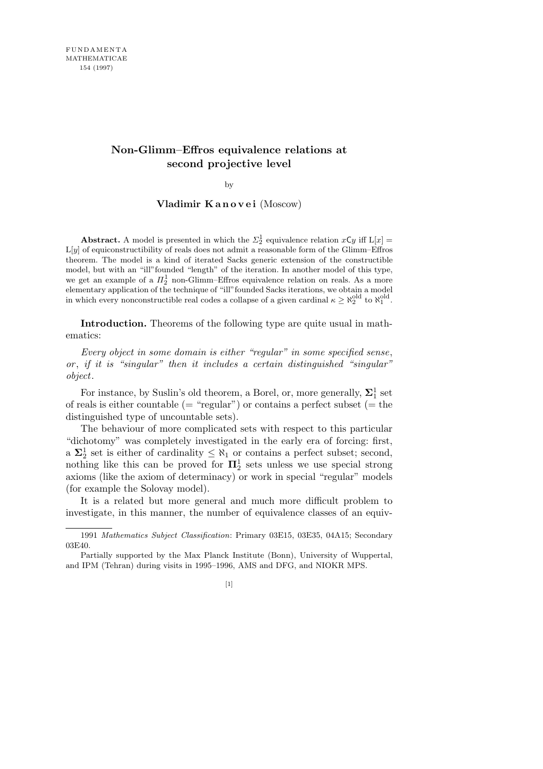## **Non-Glimm–Effros equivalence relations at second projective level**

by

## **Vladimir K a n o v e i** (Moscow)

**Abstract.** A model is presented in which the  $\Sigma_2^1$  equivalence relation  $x \mathbf{C} y$  iff  $\mathbf{L}[x] =$ L[*y*] of equiconstructibility of reals does not admit a reasonable form of the Glimm–Effros theorem. The model is a kind of iterated Sacks generic extension of the constructible model, but with an "ill"founded "length" of the iteration. In another model of this type, we get an example of a  $\Pi_2^1$  non-Glimm–Effros equivalence relation on reals. As a more elementary application of the technique of "ill"founded Sacks iterations, we obtain a model in which every nonconstructible real codes a collapse of a given cardinal  $\kappa \geq \aleph_2^{\text{old}}$  to  $\aleph_1^{\text{old}}$ .

**Introduction.** Theorems of the following type are quite usual in mathematics:

*Every object in some domain is either "regular" in some specified sense*, *or* , *if it is "singular" then it includes a certain distinguished "singular" object*.

For instance, by Suslin's old theorem, a Borel, or, more generally,  $\Sigma^1_1$  set of reals is either countable (= "regular") or contains a perfect subset (= the distinguished type of uncountable sets).

The behaviour of more complicated sets with respect to this particular "dichotomy" was completely investigated in the early era of forcing: first, a  $\Sigma_2^1$  set is either of cardinality  $\leq \aleph_1$  or contains a perfect subset; second, nothing like this can be proved for  $\Pi_2^1$  sets unless we use special strong axioms (like the axiom of determinacy) or work in special "regular" models (for example the Solovay model).

It is a related but more general and much more difficult problem to investigate, in this manner, the number of equivalence classes of an equiv-

<sup>1991</sup> *Mathematics Subject Classification*: Primary 03E15, 03E35, 04A15; Secondary 03E40.

Partially supported by the Max Planck Institute (Bonn), University of Wuppertal, and IPM (Tehran) during visits in 1995–1996, AMS and DFG, and NIOKR MPS.

<sup>[1]</sup>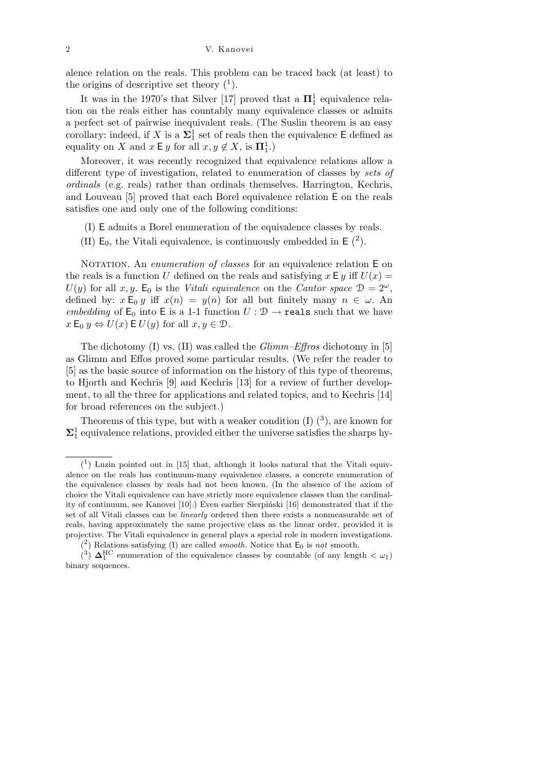2 V. Kanovei

alence relation on the reals. This problem can be traced back (at least) to the origins of descriptive set theory  $(1)$ .

It was in the 1970's that Silver [17] proved that a  $\Pi_1^1$  equivalence relation on the reals either has countably many equivalence classes or admits a perfect set of pairwise inequivalent reals. (The Suslin theorem is an easy corollary: indeed, if *X* is a  $\Sigma_1^1$  set of reals then the equivalence E defined as equality on *X* and  $x \in y$  for all  $x, y \notin X$ , is  $\Pi_1^1$ .)

Moreover, it was recently recognized that equivalence relations allow a different type of investigation, related to enumeration of classes by *sets of ordinals* (e.g. reals) rather than ordinals themselves. Harrington, Kechris, and Louveau [5] proved that each Borel equivalence relation E on the reals satisfies one and only one of the following conditions:

- (I) E admits a Borel enumeration of the equivalence classes by reals.
- (II)  $E_0$ , the Vitali equivalence, is continuously embedded in  $E(2)$ .

NOTATION. An *enumeration of classes* for an equivalence relation E on the reals is a function *U* defined on the reals and satisfying  $x \in y$  iff  $U(x) =$  $U(y)$  for all *x, y*. E<sub>0</sub> is the *Vitali equivalence* on the *Cantor space*  $\mathcal{D} = 2^{\omega}$ , defined by:  $x \mathsf{E}_0 y$  iff  $x(n) = y(n)$  for all but finitely many  $n \in \omega$ . An *embedding* of  $E_0$  into E is a 1-1 function  $U: \mathcal{D} \to \text{reals}$  such that we have  $x \to 0$   $y \Leftrightarrow U(x) \to U(y)$  for all  $x, y \in \mathcal{D}$ .

The dichotomy (I) vs. (II) was called the *Glimm–Effros* dichotomy in [5] as Glimm and Effos proved some particular results. (We refer the reader to [5] as the basic source of information on the history of this type of theorems, to Hjorth and Kechris [9] and Kechris [13] for a review of further development, to all the three for applications and related topics, and to Kechris [14] for broad references on the subject.)

Theorems of this type, but with a weaker condition  $(I)$   $(3)$ , are known for  $\Sigma_1^1$  equivalence relations, provided either the universe satisfies the sharps hy-

 $(1)$  Luzin pointed out in [15] that, although it looks natural that the Vitali equivalence on the reals has continuum-many equivalence classes, a concrete enumeration of the equivalence classes by reals had not been known. (In the absence of the axiom of choice the Vitali equivalence can have strictly more equivalence classes than the cardinality of continuum, see Kanovei [10].) Even earlier Sierpiński [16] demonstrated that if the set of all Vitali classes can be *linearly* ordered then there exists a nonmeasurable set of reals, having approximately the same projective class as the linear order, provided it is projective. The Vitali equivalence in general plays a special role in modern investigations.

 $(2)$  Relations satisfying (I) are called *smooth*. Notice that  $E_0$  is *not* smooth.

 $\left(\frac{3}{2}\right)$   $\Delta_1^{\text{HC}}$  enumeration of the equivalence classes by countable (of any length  $\langle \omega_1 \rangle$ ) binary sequences.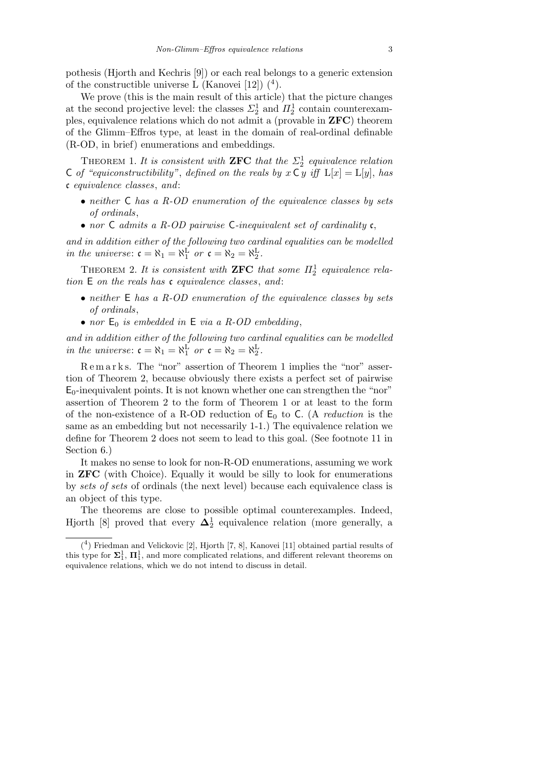pothesis (Hjorth and Kechris [9]) or each real belongs to a generic extension of the constructible universe L (Kanovei [12])  $(4)$ .

We prove (this is the main result of this article) that the picture changes at the second projective level: the classes  $\Sigma_2^1$  and  $\Pi_2^1$  contain counterexamples, equivalence relations which do not admit a (provable in **ZFC**) theorem of the Glimm–Effros type, at least in the domain of real-ordinal definable (R-OD, in brief) enumerations and embeddings.

THEOREM 1. It is consistent with **ZFC** that the  $\Sigma_2^1$  equivalence relation C *of "equiconstructibility"*, *defined on the reals by*  $x \subset y$  *iff*  $L[x] = L[y]$ , *has* c *equivalence classes*, *and*:

- *• neither* C *has a R-OD enumeration of the equivalence classes by sets of ordinals*,
- *• nor* C *admits a R-OD pairwise* C*-inequivalent set of cardinality* c,

*and in addition either of the following two cardinal equalities can be modelled in the universe:*  $\mathfrak{c} = \aleph_1 = \aleph_1^{\text{L}}$  *or*  $\mathfrak{c} = \aleph_2 = \aleph_2^{\text{L}}$ .

THEOREM 2. It is consistent with **ZFC** that some  $\Pi_2^1$  equivalence rela*tion* E *on the reals has* c *equivalence classes*, *and*:

- *• neither* E *has a R-OD enumeration of the equivalence classes by sets of ordinals*,
- *nor*  $E_0$  *is embedded in*  $E$  *via a R-OD embedding*,

*and in addition either of the following two cardinal equalities can be modelled in the universe:*  $\mathfrak{c} = \aleph_1 = \aleph_1^{\text{L}}$  *or*  $\mathfrak{c} = \aleph_2 = \aleph_2^{\text{L}}$ .

R e m a r k s. The "nor" assertion of Theorem 1 implies the "nor" assertion of Theorem 2, because obviously there exists a perfect set of pairwise  $E_0$ -inequivalent points. It is not known whether one can strengthen the "nor" assertion of Theorem 2 to the form of Theorem 1 or at least to the form of the non-existence of a R-OD reduction of  $E_0$  to C. (A *reduction* is the same as an embedding but not necessarily 1-1.) The equivalence relation we define for Theorem 2 does not seem to lead to this goal. (See footnote 11 in Section 6.)

It makes no sense to look for non-R-OD enumerations, assuming we work in **ZFC** (with Choice). Equally it would be silly to look for enumerations by *sets of sets* of ordinals (the next level) because each equivalence class is an object of this type.

The theorems are close to possible optimal counterexamples. Indeed, Hjorth [8] proved that every  $\mathbf{\Delta}^1_2$  equivalence relation (more generally, a

<sup>(</sup> 4 ) Friedman and Velickovic [2], Hjorth [7, 8], Kanovei [11] obtained partial results of this type for  $\Sigma_1^1$ ,  $\Pi_1^1$ , and more complicated relations, and different relevant theorems on equivalence relations, which we do not intend to discuss in detail.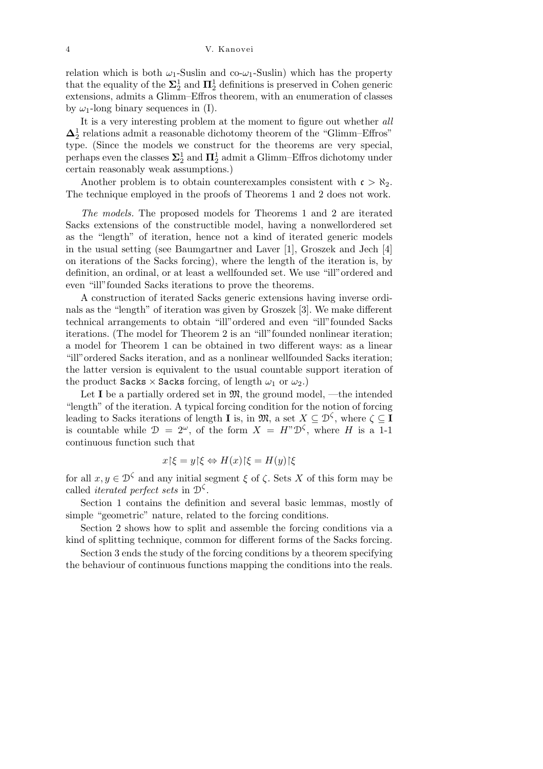relation which is both  $\omega_1$ -Suslin and co- $\omega_1$ -Suslin) which has the property that the equality of the  $\Sigma_2^1$  and  $\Pi_2^1$  definitions is preserved in Cohen generic extensions, admits a Glimm–Effros theorem, with an enumeration of classes by  $\omega_1$ -long binary sequences in (I).

It is a very interesting problem at the moment to figure out whether *all*  $\pmb{\Delta}^1_2$  relations admit a reasonable dichotomy theorem of the "Glimm–Effros" type. (Since the models we construct for the theorems are very special, perhaps even the classes  $\Sigma^1_2$  and  $\Pi^1_2$  admit a Glimm–Effros dichotomy under certain reasonably weak assumptions.)

Another problem is to obtain counterexamples consistent with  $c > \aleph_2$ . The technique employed in the proofs of Theorems 1 and 2 does not work.

*The models.* The proposed models for Theorems 1 and 2 are iterated Sacks extensions of the constructible model, having a nonwellordered set as the "length" of iteration, hence not a kind of iterated generic models in the usual setting (see Baumgartner and Laver [1], Groszek and Jech [4] on iterations of the Sacks forcing), where the length of the iteration is, by definition, an ordinal, or at least a wellfounded set. We use "ill"ordered and even "ill"founded Sacks iterations to prove the theorems.

A construction of iterated Sacks generic extensions having inverse ordinals as the "length" of iteration was given by Groszek [3]. We make different technical arrangements to obtain "ill"ordered and even "ill"founded Sacks iterations. (The model for Theorem 2 is an "ill"founded nonlinear iteration; a model for Theorem 1 can be obtained in two different ways: as a linear "ill"ordered Sacks iteration, and as a nonlinear wellfounded Sacks iteration; the latter version is equivalent to the usual countable support iteration of the product Sacks  $\times$  Sacks forcing, of length  $\omega_1$  or  $\omega_2$ .)

Let **I** be a partially ordered set in  $\mathfrak{M}$ , the ground model, —the intended "length" of the iteration. A typical forcing condition for the notion of forcing leading to Sacks iterations of length **I** is, in  $\mathfrak{M}$ , a set  $X \subseteq \mathcal{D}^{\zeta}$ , where  $\zeta \subseteq \mathbf{I}$ is countable while  $\mathcal{D} = 2^{\omega}$ , of the form  $X = H^{\nu} \mathcal{D}^{\zeta}$ , where *H* is a 1-1 continuous function such that

$$
x\upharpoonright\xi = y\upharpoonright\xi \Leftrightarrow H(x)\upharpoonright\xi = H(y)\upharpoonright\xi
$$

for all  $x, y \in \mathcal{D}^{\zeta}$  and any initial segment  $\xi$  of  $\zeta$ . Sets  $X$  of this form may be called *iterated perfect sets* in D *ζ* .

Section 1 contains the definition and several basic lemmas, mostly of simple "geometric" nature, related to the forcing conditions.

Section 2 shows how to split and assemble the forcing conditions via a kind of splitting technique, common for different forms of the Sacks forcing.

Section 3 ends the study of the forcing conditions by a theorem specifying the behaviour of continuous functions mapping the conditions into the reals.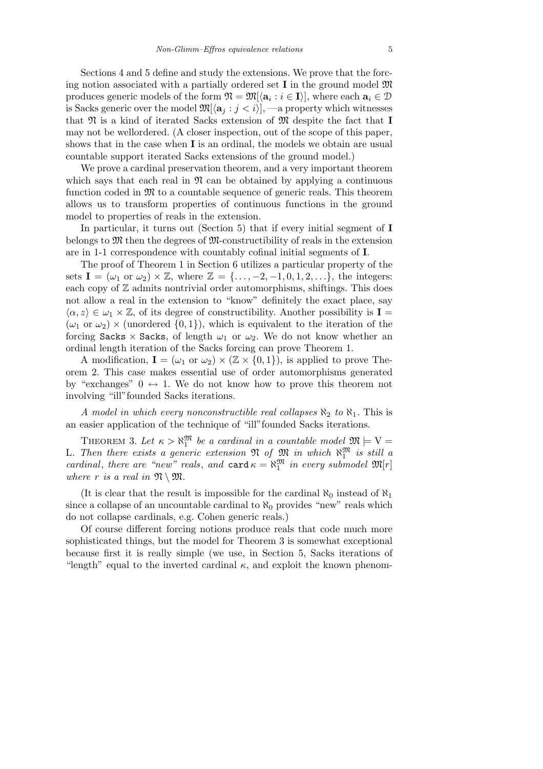Sections 4 and 5 define and study the extensions. We prove that the forcing notion associated with a partially ordered set **I** in the ground model M produces generic models of the form  $\mathfrak{N} = \mathfrak{M}[\langle \mathbf{a}_i : i \in I \rangle]$ , where each  $\mathbf{a}_i \in \mathcal{D}$ is Sacks generic over the model  $\mathfrak{M}[\langle \mathbf{a}_i : j \leq i \rangle],$  —a property which witnesses that  $\mathfrak{N}$  is a kind of iterated Sacks extension of  $\mathfrak{M}$  despite the fact that **I** may not be wellordered. (A closer inspection, out of the scope of this paper, shows that in the case when **I** is an ordinal, the models we obtain are usual countable support iterated Sacks extensions of the ground model.)

We prove a cardinal preservation theorem, and a very important theorem which says that each real in  $\mathfrak{N}$  can be obtained by applying a continuous function coded in  $\mathfrak{M}$  to a countable sequence of generic reals. This theorem allows us to transform properties of continuous functions in the ground model to properties of reals in the extension.

In particular, it turns out (Section 5) that if every initial segment of **I** belongs to  $\mathfrak{M}$  then the degrees of  $\mathfrak{M}$ -constructibility of reals in the extension are in 1-1 correspondence with countably cofinal initial segments of **I**.

The proof of Theorem 1 in Section 6 utilizes a particular property of the sets  $I = (\omega_1 \text{ or } \omega_2) \times \mathbb{Z}$ , where  $\mathbb{Z} = \{\ldots, -2, -1, 0, 1, 2, \ldots\}$ , the integers: each copy of  $\mathbb Z$  admits nontrivial order automorphisms, shiftings. This does not allow a real in the extension to "know" definitely the exact place, say  $\langle \alpha, z \rangle \in \omega_1 \times \mathbb{Z}$ , of its degree of constructibility. Another possibility is **I** =  $(\omega_1 \text{ or } \omega_2) \times \text{(unordered } \{0,1\})$ , which is equivalent to the iteration of the forcing Sacks  $\times$  Sacks, of length  $\omega_1$  or  $\omega_2$ . We do not know whether an ordinal length iteration of the Sacks forcing can prove Theorem 1.

A modification,  $I = (\omega_1 \text{ or } \omega_2) \times (\mathbb{Z} \times \{0,1\})$ , is applied to prove Theorem 2. This case makes essential use of order automorphisms generated by "exchanges"  $0 \leftrightarrow 1$ . We do not know how to prove this theorem not involving "ill"founded Sacks iterations.

*A model in which every nonconstructible real collapses*  $\aleph_2$  *to*  $\aleph_1$ *.* This is an easier application of the technique of "ill"founded Sacks iterations.

THEOREM 3. Let  $\kappa > \aleph_1^{\mathfrak{M}}$  be a cardinal in a countable model  $\mathfrak{M} \models V =$ L. Then there exists a generic extension  $\mathfrak{N}$  of  $\mathfrak{M}$  in which  $\aleph_1^{\mathfrak{M}}$  is still a *cardinal*, *there are "new" reals*, *and*  $\text{card } \kappa = \aleph_1^{\mathfrak{M}}$  *in every submodel*  $\mathfrak{M}[r]$ *where*  $r$  *is a real in*  $\mathfrak{N} \setminus \mathfrak{M}$ *.* 

(It is clear that the result is impossible for the cardinal  $\aleph_0$  instead of  $\aleph_1$ since a collapse of an uncountable cardinal to  $\aleph_0$  provides "new" reals which do not collapse cardinals, e.g. Cohen generic reals.)

Of course different forcing notions produce reals that code much more sophisticated things, but the model for Theorem 3 is somewhat exceptional because first it is really simple (we use, in Section 5, Sacks iterations of "length" equal to the inverted cardinal  $\kappa$ , and exploit the known phenom-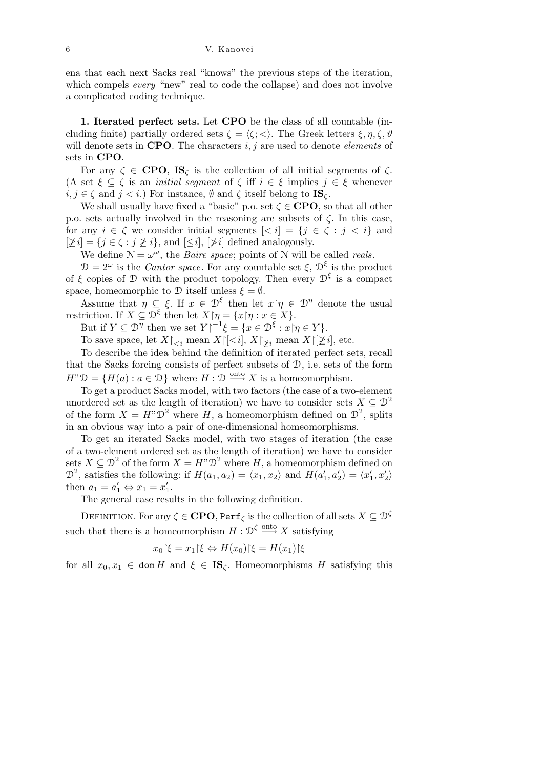## 6 V. Kanovei

ena that each next Sacks real "knows" the previous steps of the iteration, which compels *every* "new" real to code the collapse) and does not involve a complicated coding technique.

**1. Iterated perfect sets.** Let **CPO** be the class of all countable (including finite) partially ordered sets  $\zeta = \langle \zeta; \langle \cdot \rangle$ . The Greek letters  $\xi, \eta, \zeta, \vartheta$ will denote sets in **CPO**. The characters *i, j* are used to denote *elements* of sets in **CPO**.

For any  $\zeta \in \mathbf{CPO}$ ,  $\mathbf{IS}_{\zeta}$  is the collection of all initial segments of  $\zeta$ . (A set  $\xi \subseteq \zeta$  is an *initial segment* of  $\zeta$  iff  $i \in \xi$  implies  $j \in \xi$  whenever  $i, j \in \zeta$  and  $j < i$ .) For instance,  $\emptyset$  and  $\zeta$  itself belong to **IS** $\zeta$ .

We shall usually have fixed a "basic" p.o. set  $\zeta \in \mathbf{CPO}$ , so that all other p.o. sets actually involved in the reasoning are subsets of *ζ*. In this case, for any  $i \in \zeta$  we consider initial segments  $\lfloor \zeta i \rfloor = \{j \in \zeta : j \leq i\}$  and  $[\n\geq i] = \{j \in \zeta : j \geq i\}$ , and  $[\leq i]$ ,  $[\n\geq i]$  defined analogously.

We define  $\mathcal{N} = \omega^{\omega}$ , the *Baire space*; points of  $\mathcal{N}$  will be called *reals*.

 $\mathcal{D} = 2^{\omega}$  is the *Cantor space*. For any countable set  $\xi$ ,  $\mathcal{D}^{\xi}$  is the product of  $\xi$  copies of  $\mathcal D$  with the product topology. Then every  $\mathcal D^\xi$  is a compact space, homeomorphic to  $\mathcal D$  itself unless  $\xi = \emptyset$ .

Assume that  $\eta \subseteq \xi$ . If  $x \in \mathcal{D}^{\xi}$  then let  $x \upharpoonright \eta \in \mathcal{D}^{\eta}$  denote the usual restriction. If  $X \subseteq \mathcal{D}^{\xi}$  then let  $X \upharpoonright \eta = \{x \upharpoonright \eta : x \in X\}.$ 

But if  $Y \subseteq \mathcal{D}^{\eta}$  then we set  $Y|^{-1}\xi = \{x \in \mathcal{D}^{\xi} : x \mid \eta \in Y\}.$ 

To save space, let  $X\restriction_{\leq i}$  mean  $X\restriction \{i\}$ ,  $X\restriction_{\geq i}$  mean  $X\restriction \{i\}$ , etc.

To describe the idea behind the definition of iterated perfect sets, recall that the Sacks forcing consists of perfect subsets of D, i.e. sets of the form  $H^{\prime\prime} \mathcal{D} = \{H(a) : a \in \mathcal{D}\}\$  where  $H: \mathcal{D} \xrightarrow{\text{onto }} X$  is a homeomorphism.

To get a product Sacks model, with two factors (the case of a two-element unordered set as the length of iteration) we have to consider sets  $X \subseteq \mathcal{D}^2$ of the form  $X = H^{\prime\prime} \mathcal{D}^2$  where *H*, a homeomorphism defined on  $\mathcal{D}^2$ , splits in an obvious way into a pair of one-dimensional homeomorphisms.

To get an iterated Sacks model, with two stages of iteration (the case of a two-element ordered set as the length of iteration) we have to consider sets  $X \subseteq \mathcal{D}^2$  of the form  $X = H^*\mathcal{D}^2$  where  $H$ , a homeomorphism defined on  $\mathcal{D}^2$ , satisfies the following: if  $H(a_1, a_2) = \langle x_1, x_2 \rangle$  and  $H(a'_1, a'_2) = \langle x'_1, x'_2 \rangle$ then  $a_1 = a'_1 \Leftrightarrow x_1 = x'_1$ .

The general case results in the following definition.

DEFINITION. For any  $\zeta \in \mathbf{CPO},$  Perf $_\zeta$  is the collection of all sets  $X \subseteq \mathcal{D}^\zeta$ such that there is a homeomorphism  $H: \mathcal{D}^{\zeta} \stackrel{\text{onto}}{\longrightarrow} X$  satisfying

$$
x_0\vert\xi = x_1\vert\xi \Leftrightarrow H(x_0)\vert\xi = H(x_1)\vert\xi
$$

for all  $x_0, x_1 \in \text{dom } H$  and  $\xi \in \mathbf{IS}_\zeta$ . Homeomorphisms *H* satisfying this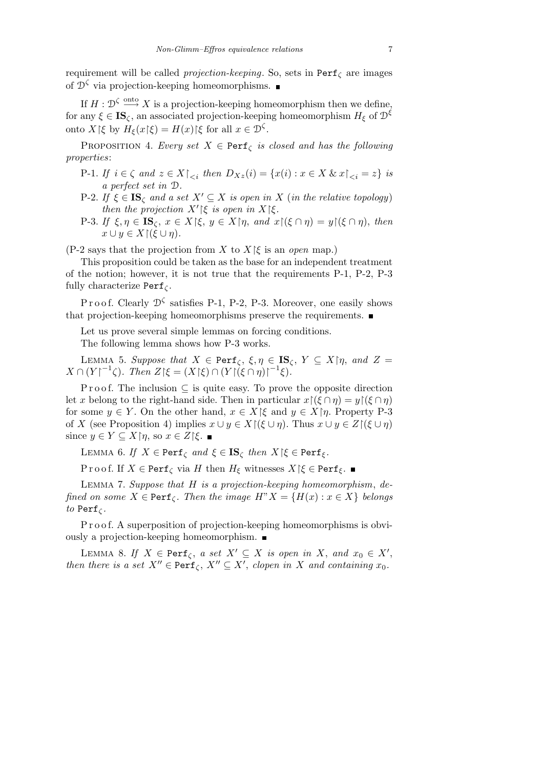requirement will be called *projection-keeping*. So, sets in Perf*<sup>ζ</sup>* are images of  $\mathcal{D}^{\zeta}$  via projection-keeping homeomorphisms.

If  $H: \mathcal{D}^{\zeta} \stackrel{\text{onto}}{\longrightarrow} X$  is a projection-keeping homeomorphism then we define, for any  $\xi \in \mathbf{IS}_{\zeta}$ , an associated projection-keeping homeomorphism  $H_{\xi}$  of  $\mathcal{D}^{\xi}$ onto  $X \upharpoonright \xi$  by  $H_{\xi}(x \upharpoonright \xi) = H(x) \upharpoonright \xi$  for all  $x \in \mathcal{D}^{\zeta}$ .

PROPOSITION 4. *Every set*  $X \in \text{Perf}_{\zeta}$  *is closed and has the following properties*:

- P-1. If  $i \in \zeta$  and  $z \in X|_{\leq i}$  then  $D_{Xz}(i) = \{x(i) : x \in X \& x|_{\leq i} = z\}$  is *a perfect set in* D*.*
- P-2. *If*  $\xi \in \mathbf{IS}_\zeta$  *and a set*  $X' \subseteq X$  *is open in*  $X$  (*in the relative topology*) *then the projection*  $X'|\xi$  *is open in*  $X|\xi$ .
- P-3. If  $\xi, \eta \in \mathbf{IS}_{\zeta}, x \in X \upharpoonright \xi, y \in X \upharpoonright \eta, and x \upharpoonright (\xi \cap \eta) = y \upharpoonright (\xi \cap \eta), then$  $x \cup y \in X \cap (\xi \cup \eta).$

(P-2 says that the projection from *X* to  $X \upharpoonright \xi$  is an *open* map.)

This proposition could be taken as the base for an independent treatment of the notion; however, it is not true that the requirements P-1, P-2, P-3 fully characterize Perf*<sup>ζ</sup>* .

P r o o f. Clearly  $\mathcal{D}^{\zeta}$  satisfies P-1, P-2, P-3. Moreover, one easily shows that projection-keeping homeomorphisms preserve the requirements.

Let us prove several simple lemmas on forcing conditions. The following lemma shows how P-3 works.

LEMMA 5. *Suppose that*  $X \in \text{Perf}_{\zeta}, \xi, \eta \in \mathbf{IS}_{\zeta}, Y \subseteq X \mid \eta, \text{ and } Z =$  $X \cap (Y|^{-1}\zeta)$ *. Then*  $Z|\xi = (X|\xi) \cap (Y|(\xi \cap \eta))^{-1}\xi)$ .

P r o o f. The inclusion ⊂ is quite easy. To prove the opposite direction let *x* belong to the right-hand side. Then in particular  $x \upharpoonright (\xi \cap \eta) = y \upharpoonright (\xi \cap \eta)$ for some  $y \in Y$ . On the other hand,  $x \in X \upharpoonright \xi$  and  $y \in X \upharpoonright \eta$ . Property P-3 of *X* (see Proposition 4) implies  $x \cup y \in X \setminus (\xi \cup \eta)$ . Thus  $x \cup y \in Z \setminus (\xi \cup \eta)$ since  $y \in Y \subseteq X \mid \eta$ , so  $x \in Z \mid \xi$ .

LEMMA 6. *If*  $X \in \text{Perf}_{\zeta}$  *and*  $\xi \in \text{IS}_{\zeta}$  *then*  $X \mid \xi \in \text{Perf}_{\xi}$ *.* 

P r o o f. If *X*  $\in$  Perf<sub>*ζ*</sub> via *H* then *H<sub>ξ</sub>* witnesses *X* |*ξ*  $\in$  Perf<sub>*ξ*</sub>. ■

Lemma 7. *Suppose that H is a projection-keeping homeomorphism*, *defined on some*  $X \in \text{Perf}_{\zeta}$ *. Then the image*  $H''X = \{H(x) : x \in X\}$  *belongs to* Perf<sub> $\zeta$  *.*</sub>

P r o o f. A superposition of projection-keeping homeomorphisms is obviously a projection-keeping homeomorphism.

LEMMA 8. If  $X \in \text{Perf}_{\zeta}$ , *a set*  $X' \subseteq X$  *is open in*  $X$ , *and*  $x_0 \in X'$ , *then there is a set*  $X'' \in \text{Perf}_{\zeta}$ ,  $X'' \subseteq X'$ , *clopen in X and containing*  $x_0$ *.*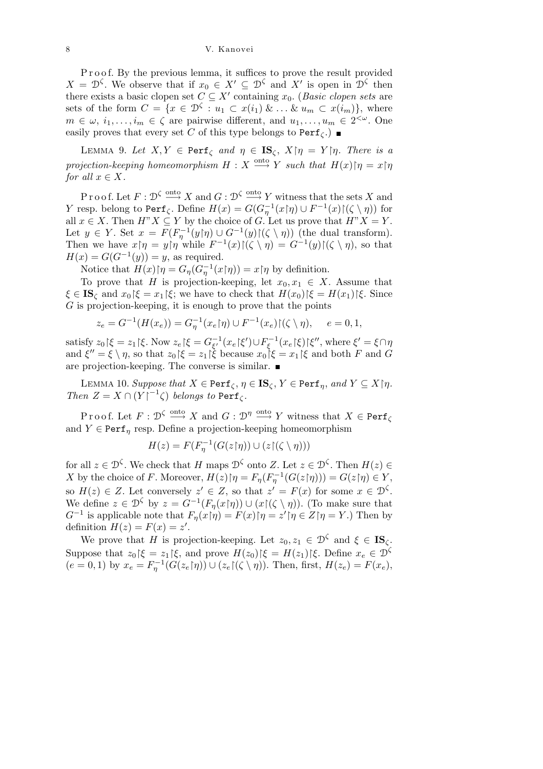P r o o f. By the previous lemma, it suffices to prove the result provided  $X = \mathcal{D}^{\zeta}$ . We observe that if  $x_0 \in X' \subseteq \mathcal{D}^{\zeta}$  and  $X'$  is open in  $\mathcal{D}^{\zeta}$  then there exists a basic clopen set  $C \subseteq X'$  containing  $x_0$ . (*Basic clopen sets* are sets of the form  $C = \{x \in \mathcal{D}^{\zeta} : u_1 \subset x(i_1) \& \dots \& u_m \subset x(i_m)\},\$  where  $m \in \omega, i_1, \ldots, i_m \in \zeta$  are pairwise different, and  $u_1, \ldots, u_m \in 2^{<\omega}$ . One easily proves that every set *C* of this type belongs to  $\text{Perf}_{\zeta}$ .)

LEMMA 9. Let  $X, Y \in \text{Perf}_{\zeta}$  and  $\eta \in \text{IS}_{\zeta}, X \mid \eta = Y \mid \eta$ . There is a *projection-keeping homeomorphism*  $H: X \longrightarrow Y$  *such that*  $H(x)$  $\upharpoonright \eta = x \upharpoonright \eta$ *for all*  $x \in X$ *.* 

Proof. Let  $F: \mathcal{D}^{\zeta} \longrightarrow X$  and  $G: \mathcal{D}^{\zeta} \longrightarrow Y$  witness that the sets X and *Y* resp. belong to Perf<sub>*ζ*</sub>. Define  $H(x) = G(G_{\eta}^{-1}(x|\eta) \cup F^{-1}(x)|(\zeta \setminus \eta))$  for all  $x \in X$ . Then  $H^{\prime\prime} X \subseteq Y$  by the choice of *G*. Let us prove that  $H^{\prime\prime} X = Y$ . Let  $y \in Y$ . Set  $x = F(F_{\eta}^{-1}(y|\eta) \cup G^{-1}(y)|(\zeta \setminus \eta))$  (the dual transform). Then we have  $x|\eta = y|\eta$  while  $F^{-1}(x)|(\zeta \setminus \eta) = G^{-1}(y)|(\zeta \setminus \eta)$ , so that  $H(x) = G(G^{-1}(y)) = y$ , as required.

Notice that  $H(x)$ <sup> $\uparrow$ </sup> $\eta = G_{\eta}(G_{\eta}^{-1}(x)\uparrow\eta) = x \uparrow \eta$  by definition.

To prove that *H* is projection-keeping, let  $x_0, x_1 \in X$ . Assume that  $\xi \in \mathbf{IS}_{\zeta}$  and  $x_0 \, | \, \xi = x_1 \, | \, \xi$ ; we have to check that  $H(x_0) \, | \, \xi = H(x_1) \, | \, \xi$ . Since *G* is projection-keeping, it is enough to prove that the points

$$
z_e = G^{-1}(H(x_e)) = G_{\eta}^{-1}(x_e | \eta) \cup F^{-1}(x_e) | (\zeta \setminus \eta), \quad e = 0, 1,
$$

satisfy  $z_0$  | $\xi = z_1$  | $\xi$ . Now  $z_e$  | $\xi = G_{\xi'}^{-1}(x_e|\xi') \cup F_{\xi}^{-1}(x_e|\xi)$  | $\xi''$ , where  $\xi' = \xi \cap \eta$ and  $\xi'' = \xi \setminus \eta$ , so that  $z_0 \vert \xi = z_1 \vert \xi$  because  $x_0 \vert \xi = x_1 \vert \xi$  and both *F* and *G* are projection-keeping. The converse is similar.

LEMMA 10. *Suppose that*  $X \in \text{Perf}_{\zeta}, \eta \in \text{IS}_{\zeta}, Y \in \text{Perf}_{\eta}, \text{ and } Y \subseteq X \mid \eta$ . *Then*  $Z = X \cap (Y|^{-1}\zeta)$  *belongs to*  $\text{Perf}_{\zeta}$ *.* 

 $\text{Proof. Let } F: \mathcal{D}^{\zeta} \overset{\text{onto}}{\longrightarrow} X \text{ and } G: \mathcal{D}^{\eta} \overset{\text{onto}}{\longrightarrow} Y \text{ witness that } X \in \text{Perf}_{\zeta}$ and  $Y \in \text{Perf}_n$  resp. Define a projection-keeping homeomorphism

$$
H(z) = F(F_{\eta}^{-1}(G(z \restriction \eta)) \cup (z \restriction (\zeta \setminus \eta)))
$$

for all  $z \in \mathcal{D}^{\zeta}$ . We check that *H* maps  $\mathcal{D}^{\zeta}$  onto *Z*. Let  $z \in \mathcal{D}^{\zeta}$ . Then  $H(z) \in$ *X* by the choice of *F*. Moreover,  $H(z)$   $\vert \eta = F_{\eta}(F_{\eta}^{-1}(G(z|\eta))) = G(z|\eta) \in Y$ , so  $H(z) \in Z$ . Let conversely  $z' \in Z$ , so that  $z' = F(x)$  for some  $x \in \mathcal{D}^{\zeta}$ . We define  $z \in \mathcal{D}^{\zeta}$  by  $z = \tilde{G}^{-1}(F_{\eta}(x|\eta)) \cup (x(\zeta \setminus \eta))$ . (To make sure that *G*<sup>−1</sup> is applicable note that  $F_{\eta}(x|\eta) = F(x)$  $\mid \eta = z' \mid \eta \in Z \mid \eta = Y$ .) Then by definition  $H(z) = F(x) = z'$ .

We prove that *H* is projection-keeping. Let  $z_0, z_1 \in \mathcal{D}^{\zeta}$  and  $\xi \in \mathbf{IS}_{\zeta}$ . Suppose that  $z_0$   $\xi = z_1 \xi$ , and prove  $H(z_0) \xi = H(z_1) \xi$ . Define  $x_e \in \mathcal{D}^{\zeta}$  $(e = 0, 1)$  by  $x_e = F_{\eta}^{-1}(G(z_e | \eta)) \cup (z_e | (\zeta \setminus \eta))$ . Then, first,  $H(z_e) = F(x_e)$ ,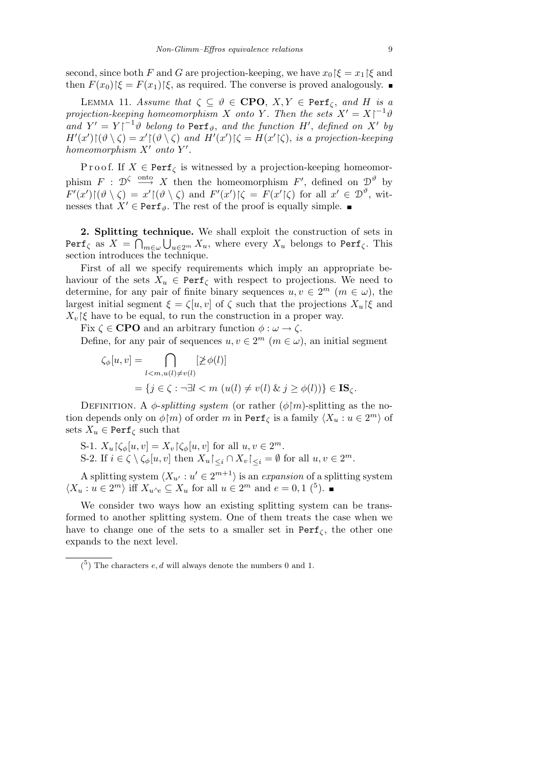second, since both *F* and *G* are projection-keeping, we have  $x_0 \upharpoonright \xi = x_1 \upharpoonright \xi$  and then  $F(x_0)$   $|\xi = F(x_1)|\xi$ , as required. The converse is proved analogously.

LEMMA 11. *Assume that*  $\zeta \subseteq \vartheta \in \mathbf{CPO}$ ,  $X, Y \in \mathbf{Perf}_{\zeta}$ , and *H* is a *projection-keeping homeomorphism X onto Y*. Then the sets  $X' = X \vert \{-1\}$ *and*  $Y' = Y|^{-1}\theta$  *belong to* Perf<sub> $\theta$ </sub>, and the function *H'*, defined on  $X'$  by  $H'(x')\upharpoonright (\vartheta \setminus \zeta) = x' \upharpoonright (\vartheta \setminus \zeta)$  and  $H'(x')\upharpoonright \zeta = H(x'\upharpoonright \zeta)$ , is a projection-keeping *homeomorphism*  $X'$  *onto*  $Y'$ *.* 

P r o o f. If  $X \in \text{Perf}_{\zeta}$  is witnessed by a projection-keeping homeomorphism  $F : \mathcal{D}^{\zeta} \longrightarrow X$  then the homeomorphism  $F'$ , defined on  $\mathcal{D}^{\vartheta}$  by  $F'(x')[(\vartheta \setminus \zeta) = x'[(\vartheta \setminus \zeta) \text{ and } F'(x')] \zeta = F(x'|\zeta) \text{ for all } x' \in \mathcal{D}^{\vartheta}$ , witnesses that  $X' \in \text{Perf}_{\vartheta}$ . The rest of the proof is equally simple.

2. Splitting technique. We shall exploit the construction of sets in  $\texttt{Perf}_{\zeta}$  as  $X \, = \, \bigcap_{m \in \omega} \bigcup_{u \in 2^m} X_u,$  where every  $X_u$  belongs to  $\texttt{Perf}_{\zeta}.$  This section introduces the technique.

First of all we specify requirements which imply an appropriate behaviour of the sets  $X_u \in \text{Perf}_{\zeta}$  with respect to projections. We need to determine, for any pair of finite binary sequences  $u, v \in 2^m$  ( $m \in \omega$ ), the largest initial segment  $\xi = \zeta[u, v]$  of  $\zeta$  such that the projections  $X_u \upharpoonright \xi$  and  $X_v$ | $\xi$  have to be equal, to run the construction in a proper way.

Fix  $\zeta \in \textbf{CPO}$  and an arbitrary function  $\phi : \omega \to \zeta$ .

Define, for any pair of sequences  $u, v \in 2^m$  ( $m \in \omega$ ), an initial segment

$$
\zeta_{\phi}[u, v] = \bigcap_{l < m, u(l) \neq v(l)} [\not\geq \phi(l)]
$$
\n
$$
= \{ j \in \zeta : \neg \exists l < m \ (u(l) \neq v(l) \ \& j \geq \phi(l)) \} \in \mathbf{IS}_{\zeta}.
$$

DEFINITION. A  $\phi$ -*splitting system* (or rather  $(\phi \upharpoonright m)$ -splitting as the notion depends only on  $\phi$ <sup>[</sup>*m*</sup>*)* of order *m* in Perf<sub> $\zeta$  is a family  $\langle X_u : u \in 2^m \rangle$  of</sub> sets  $X_u \in \text{Perf}_{\zeta}$  such that

S-1.  $X_u \upharpoonright \zeta_\phi[u, v] = X_v \upharpoonright \zeta_\phi[u, v]$  for all  $u, v \in 2^m$ . S-2. If  $i \in \zeta \setminus \zeta_{\phi}[u, v]$  then  $X_u \vert_{\leq i} \cap X_v \vert_{\leq i} = \emptyset$  for all  $u, v \in 2^m$ .

A splitting system  $\langle X_{u'} : u' \in 2^{m+1} \rangle$  is an *expansion* of a splitting system  $\langle X_u : u \in 2^m \rangle$  iff  $X_{u \wedge e} \subseteq X_u$  for all  $u \in 2^m$  and  $e = 0, 1$  (<sup>5</sup>).

We consider two ways how an existing splitting system can be transformed to another splitting system. One of them treats the case when we have to change one of the sets to a smaller set in  $Perf_\zeta$ , the other one expands to the next level.

 $(5)$  The characters  $e, d$  will always denote the numbers 0 and 1.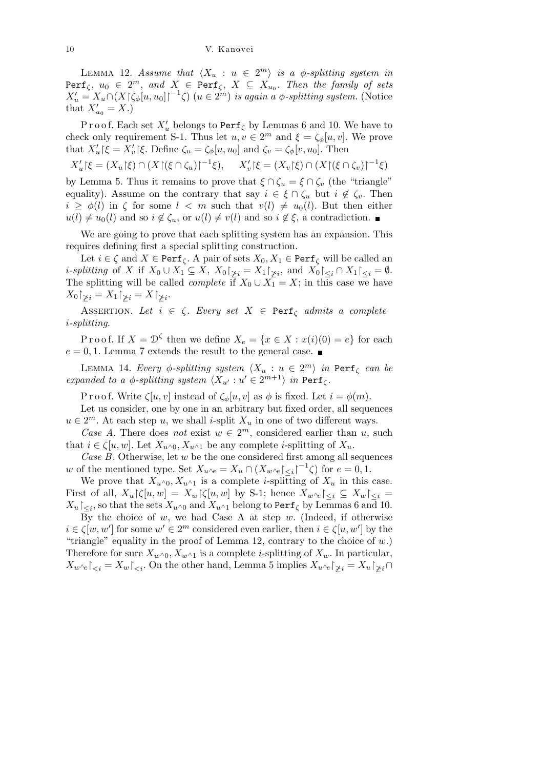LEMMA 12. *Assume that*  $\langle X_u : u \in 2^m \rangle$  *is a*  $\phi$ *-splitting system in*  $\text{Perf}_{\zeta}$ ,  $u_0 \in 2^m$ , and  $X \in \text{Perf}_{\zeta}$ ,  $X \subseteq X_{u_0}$ . Then the family of sets  $X'_u = X_u \cap (X \upharpoonright \zeta_\phi[u, u_0] \upharpoonright^{-1} \zeta)$  ( $u \in 2^m$ ) *is again a*  $\phi$ -*splitting system.* (Notice that  $X'_{u_0} = X.$ 

Proof. Each set  $X'_u$  belongs to Perf<sub> $\zeta$ </sub> by Lemmas 6 and 10. We have to check only requirement S-1. Thus let  $u, v \in 2^m$  and  $\xi = \zeta_{\phi}[u, v]$ . We prove that  $X'_u$  | $\xi = X'_v$  | $\xi$ . Define  $\zeta_u = \zeta_\phi[u, u_0]$  and  $\zeta_v = \zeta_\phi[v, u_0]$ . Then

$$
X'_u[\xi = (X_u[\xi] \cap (X[(\xi \cap \zeta_u)]^{-1}\xi), \quad X'_v[\xi = (X_v[\xi] \cap (X[(\xi \cap \zeta_v)]^{-1}\xi)]
$$

by Lemma 5. Thus it remains to prove that  $\xi \cap \zeta_u = \xi \cap \zeta_v$  (the "triangle" equality). Assume on the contrary that say  $i \in \xi \cap \zeta_u$  but  $i \notin \zeta_v$ . Then  $i \geq \phi(l)$  in  $\zeta$  for some  $l < m$  such that  $v(l) \neq u_0(l)$ . But then either  $u(l) \neq u_0(l)$  and so  $i \notin \zeta_u$ , or  $u(l) \neq v(l)$  and so  $i \notin \xi$ , a contradiction.

We are going to prove that each splitting system has an expansion. This requires defining first a special splitting construction.

Let  $i \in \zeta$  and  $X \in \text{Perf}_{\zeta}$ . A pair of sets  $X_0, X_1 \in \text{Perf}_{\zeta}$  will be called an *i*-splitting of X if  $X_0 \cup X_1 \subseteq X$ ,  $X_0|_{\geq i} = X_1|_{\geq i}$ , and  $X_0|_{\leq i} \cap X_1|_{\leq i} = \emptyset$ . The splitting will be called *complete* if  $X_0 \cup X_1 = X$ ; in this case we have  $X_0\upharpoonright_{\not\geq i} = X_1\upharpoonright_{\not\geq i} = X\upharpoonright_{\not\geq i}.$ 

ASSERTION. Let  $i \in \zeta$ . Every set  $X \in \text{Perf}_{\zeta}$  admits a complete *i-splitting.*

Proof. If  $X = \mathcal{D}^{\zeta}$  then we define  $X_e = \{x \in X : x(i)(0) = e\}$  for each  $e = 0, 1$ . Lemma 7 extends the result to the general case.

LEMMA 14. *Every*  $\phi$ -*splitting system*  $\langle X_u : u \in 2^m \rangle$  *in* Perf<sub> $\zeta$  *can be*</sub> *expanded to a*  $\phi$ *-splitting system*  $\langle X_{u'} : u' \in 2^{m+1} \rangle$  *in* Perf<sub>*ζ*</sub>.

P r o o f. Write  $\zeta[u, v]$  instead of  $\zeta_{\phi}[u, v]$  as  $\phi$  is fixed. Let  $i = \phi(m)$ .

Let us consider, one by one in an arbitrary but fixed order, all sequences  $u \in 2^m$ . At each step *u*, we shall *i*-split  $X_u$  in one of two different ways.

*Case A*. There does *not* exist  $w \in 2^m$ , considered earlier than *u*, such that  $i \in \zeta[u, w]$ . Let  $X_{u \wedge 0}, X_{u \wedge 1}$  be any complete *i*-splitting of  $X_u$ .

*Case B*. Otherwise, let *w* be the one considered first among all sequences *w* of the mentioned type. Set  $X_{u} \wedge e = X_u \cap (X_{w} \wedge e \mid \leq i \mid -1 \zeta)$  for  $e = 0, 1$ .

We prove that  $X_{u}$ <sup> $\wedge$ 0*,*  $X_{u}$ <sup> $\wedge$ </sup>1 is a complete *i*-splitting of  $X_u$  in this case.</sup> First of all,  $X_u \upharpoonright \{ [u, w] = X_w \upharpoonright \{ [u, w] \text{ by S-1}; \text{ hence } X_{w \wedge e} \upharpoonright \{ \leq i \} \subseteq X_w \upharpoonright \{ \leq i \}$  $X_u\!\!\restriction_{\leq i},$  so that the sets  $X_{u\wedge 0}$  and  $X_{u\wedge 1}$  belong to Perf<sub>*ζ*</sub> by Lemmas 6 and 10.

By the choice of *w*, we had Case A at step *w*. (Indeed, if otherwise  $i \in \zeta[w, w']$  for some  $w' \in 2^m$  considered even earlier, then  $i \in \zeta[u, w']$  by the "triangle" equality in the proof of Lemma 12, contrary to the choice of *w*.) Therefore for sure  $X_{w}$ <sup> $\wedge$ 0*,*  $X_{w}$ <sup> $\wedge$ </sup>1 is a complete *i*-splitting of  $X_{w}$ . In particular,</sup>  $X_w \wedge e \mid \leq i$  =  $X_w \mid \leq i$ . On the other hand, Lemma 5 implies  $X_w \wedge e \mid \leq i$  =  $X_u \mid \leq i$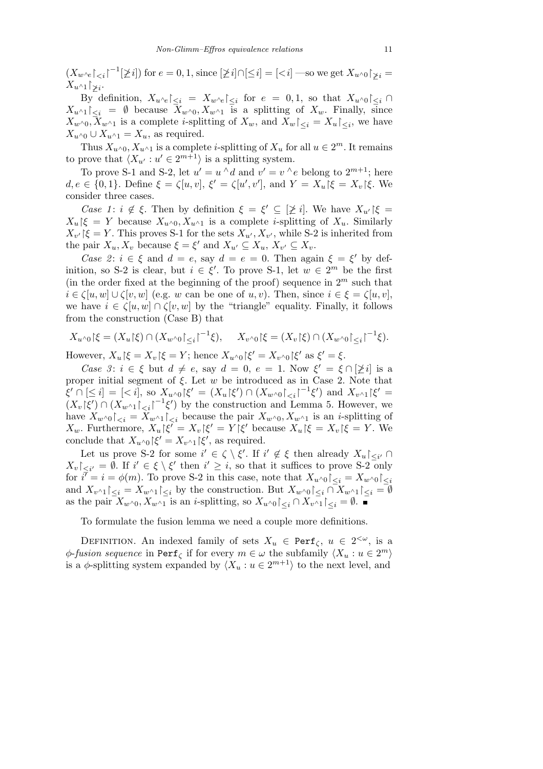$(X_w \wedge_{e} \upharpoonright_{\leq i} \upharpoonright^{-1} [\not\geq i])$  for  $e = 0, 1$ , since  $[\not\geq i] \cap [\leq i] = [\leq i]$  —so we get  $X_{u \wedge 0} \upharpoonright_{\not\geq i} =$  $X_u \wedge_1 \upharpoonright_{\geq i}$ 

By definition,  $X_{u \wedge e}|_{\leq i} = X_{w \wedge e}|_{\leq i}$  for  $e = 0, 1$ , so that  $X_{u \wedge 0}|_{\leq i} \cap$  $X_{u \wedge 1}|_{\leq i} = \emptyset$  because  $X_{w \wedge 0}, X_{w \wedge 1}$  is a splitting of  $X_w$ . Finally, since  $X_{w} \wedge 0, X_{w} \wedge 1$  is a complete *i*-splitting of  $X_w$ , and  $X_w \triangle_{\leq i} = X_w \triangle_{\leq i}$ , we have  $X_{u \wedge 0} \cup X_{u \wedge 1} = X_u$ , as required.

Thus  $X_{u}$ <sub>*^*0</sub>*,*  $X_{u}$ <sub>*^*1</sub> is a complete *i*-splitting of  $X_u$  for all  $u \in 2^m$ . It remains to prove that  $\langle X_{u'} : u' \in 2^{m+1} \rangle$  is a splitting system.

To prove S-1 and S-2, let  $u' = u \wedge d$  and  $v' = v \wedge e$  belong to  $2^{m+1}$ ; here  $d, e \in \{0, 1\}$ . Define  $\xi = \zeta[u, v], \xi' = \zeta[u', v'],$  and  $Y = X_u | \xi = X_v | \xi$ . We consider three cases.

*Case 1*:  $i \notin \xi$ . Then by definition  $\xi = \xi' \subseteq [\not\geq i]$ . We have  $X_{u'}|\xi =$  $X_u \upharpoonright \xi = Y$  because  $X_{u \wedge 0}$ ,  $X_{u \wedge 1}$  is a complete *i*-splitting of  $X_u$ . Similarly  $X_{v'}$  [ $\xi = Y$ . This proves S-1 for the sets  $X_{u'}$ ,  $X_{v'}$ , while S-2 is inherited from the pair  $X_u, X_v$  because  $\xi = \xi'$  and  $X_{u'} \subseteq X_u, X_{v'} \subseteq X_v$ .

*Case 2*:  $i \in \xi$  and  $d = e$ , say  $d = e = 0$ . Then again  $\xi = \xi'$  by definition, so S-2 is clear, but  $i \in \xi'$ . To prove S-1, let  $w \in 2^m$  be the first (in the order fixed at the beginning of the proof) sequence in  $2^m$  such that  $i \in \mathcal{K}[u, w] \cup \mathcal{K}[v, w]$  (e.g. *w* can be one of *u, v*). Then, since  $i \in \mathcal{E} = \mathcal{K}[u, v]$ , we have  $i \in \zeta[u, w] \cap \zeta[v, w]$  by the "triangle" equality. Finally, it follows from the construction (Case B) that

$$
X_{u^{\wedge}0}|\xi = (X_u|\xi) \cap (X_{w^{\wedge}0}|_{\leq i})^{-1}\xi), \quad X_{v^{\wedge}0}|\xi = (X_v|\xi) \cap (X_{w^{\wedge}0}|_{\leq i})^{-1}\xi).
$$

However,  $X_u \upharpoonright \xi = X_v \upharpoonright \xi = Y$ ; hence  $X_{u \wedge 0} \upharpoonright \xi' = X_{v \wedge 0} \upharpoonright \xi'$  as  $\xi' = \xi$ .

*Case 3*:  $i \in \xi$  but  $d \neq e$ , say  $d = 0$ ,  $e = 1$ . Now  $\xi' = \xi \cap [\xi i]$  is a proper initial segment of  $\xi$ . Let  $w$  be introduced as in Case 2. Note that  $\xi' \cap [\leq i] = [\langle i], \text{ so } X_{u \wedge 0} | \xi' = (X_u | \xi') \cap (X_{w \wedge 0}|_{\leq i} |^{-1} \xi') \text{ and } X_{v \wedge 1} | \xi' =$  $(X_v|\xi') \cap (X_{w \wedge 1}|_{\leq i} \upharpoonright^{-1} \xi')$  by the construction and Lemma 5. However, we have  $X_{w} \wedge \mathfrak{g}_{\langle \langle i \rangle} = X_{w} \wedge \mathfrak{g}_{\langle \langle i \rangle}$  because the pair  $X_{w} \wedge \mathfrak{g}_{\langle \langle i \rangle}$  is an *i*-splitting of *X*<sup>*w*</sup>. Furthermore,  $X_u | \xi' = X_v | \xi' = Y | \xi'$  because  $X_u | \xi = X_v | \xi = Y$ . We conclude that  $X_{u} \wedge_0 \upharpoonright \xi' = X_{v} \wedge_1 \upharpoonright \xi'$ , as required.

Let us prove S-2 for some  $i' \in \zeta \setminus \xi'$ . If  $i' \notin \xi$  then already  $X_u|_{\leq i'} \cap$  $X_v$   $\vert_{\leq i'} = \emptyset$ . If  $i' \in \xi \setminus \xi'$  then  $i' \geq i$ , so that it suffices to prove S-2 only for  $i^{\bar{\prime}} = i = \phi(m)$ . To prove S-2 in this case, note that  $X_{u} \wedge \phi \upharpoonright_{\leq i} = X_{w} \wedge \phi \upharpoonright_{\leq i}$ and  $X_{v \wedge 1}|_{\leq i} = X_{w \wedge 1}|_{\leq i}$  by the construction. But  $X_{w \wedge 0}|_{\leq i} \cap X_{w \wedge 1}|_{\leq i} = \emptyset$ as the pair  $X_{w \wedge 0}$ ,  $X_{w \wedge 1}$  is an *i*-splitting, so  $X_{w \wedge 0} \subset \{x_i \cap X_{w \wedge 1} \subset \{x_i = \emptyset\}$ .

To formulate the fusion lemma we need a couple more definitions.

DEFINITION. An indexed family of sets  $X_u \in \text{Perf}_{\zeta}$ ,  $u \in 2^{<\omega}$ , is a *φ*-*fusion sequence* in Perf<sub> $\zeta$  if for every  $m \in \omega$  the subfamily  $\langle X_u : u \in 2^m \rangle$ </sub> is a  $\phi$ -splitting system expanded by  $\langle X_u : u \in 2^{m+1} \rangle$  to the next level, and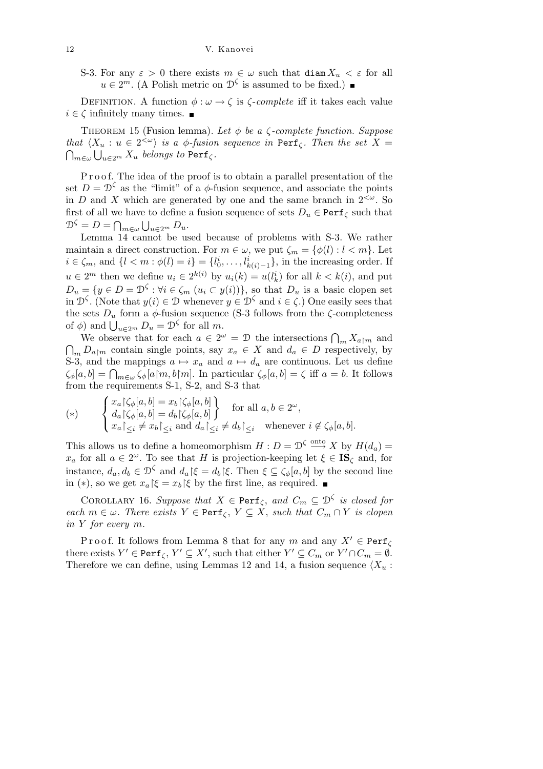S-3. For any  $\varepsilon > 0$  there exists  $m \in \omega$  such that diam  $X_u < \varepsilon$  for all  $u \in 2^m$ . (A Polish metric on  $\mathcal{D}^{\zeta}$  is assumed to be fixed.)

DEFINITION. A function  $\phi : \omega \to \zeta$  is  $\zeta$ -*complete* iff it takes each value  $i \in \zeta$  infinitely many times.  $\blacksquare$ 

Theorem 15 (Fusion lemma). *Let φ be a ζ-complete function. Suppose that*  $\langle X_u : u \in 2^{&\omega} \rangle$  *is a*  $\phi$ *-fusion sequence in* Perf<sub> $\zeta$ </sub>. Then the set  $X =$  $_{m\in\omega}\bigcup_{u\in 2^m}X_u$  *belongs to* Perf $_\zeta$  *.* 

P r o o f. The idea of the proof is to obtain a parallel presentation of the set  $D = \mathcal{D}^{\zeta}$  as the "limit" of a  $\phi$ -fusion sequence, and associate the points in *D* and *X* which are generated by one and the same branch in  $2<sup>{\omega}</sup>$ . So first of all we have to define a fusion sequence of sets  $D_u \in \text{Perf}_{\zeta}$  such that  $\mathcal{D}^{\zeta} = D = \bigcap_{m \in \omega} \bigcup_{u \in 2^m} D_u.$ 

Lemma 14 cannot be used because of problems with S-3. We rather maintain a direct construction. For  $m \in \omega$ , we put  $\zeta_m = {\phi(l) : l < m}$ . Let  $i \in \zeta_m$ , and  $\{l < m : \phi(l) = i\} = \{l_0^i, \ldots, l_{k(i)-1}^i\}$ , in the increasing order. If *u* ∈  $2^m$  then we define  $u_i$  ∈  $2^{k(i)}$  by  $u_i(k) = u(l_k^i)$  for all  $k < k(i)$ , and put  $D_u = \{y \in D = \mathcal{D}^{\zeta} : \forall i \in \zeta_m \ (u_i \subset y(i))\}$ , so that  $D_u$  is a basic clopen set in  $\mathcal{D}^{\zeta}$ . (Note that  $y(i) \in \mathcal{D}$  whenever  $y \in \mathcal{D}^{\zeta}$  and  $i \in \zeta$ .) One easily sees that the sets  $D_u$  form a  $\phi$ -fusion sequence (S-3 follows from the  $\zeta$ -completeness of  $\phi$ ) and  $\bigcup_{u \in 2^m} D_u = \mathcal{D}^{\zeta}$  for all *m*.

We observe that for each  $a \in 2^{\omega} = \mathcal{D}$  the intersections  $\bigcap_{m} X_{a|m}$  and  $\overline{a}$  $D_{a \upharpoonright m}$  contain single points, say  $x_a \in X$  and  $d_a \in D$  respectively, by S-3, and the mappings  $a \mapsto x_a$  and  $a \mapsto d_a$  are continuous. Let us define *ζ*<sup>*φ*</sup>[*a, b*] =  $\bigcap_{m \in \omega}$  *ζ*<sup>*φ*</sup>[*a*|*m, b*|*m*]. In particular *ζ*<sup>*φ*</sup>[*a, b*] = *ζ* iff *a* = *b*. It follows from the requirements S-1, S-2, and S-3 that  $\sim$  10  $\mu$   $\sim$  1.0  $\mu$   $\sim$  1.0  $\mu$ 

$$
(*) \qquad \begin{cases} x_a \upharpoonright \zeta_\phi[a, b] = x_b \upharpoonright \zeta_\phi[a, b] \\ d_a \upharpoonright \zeta_\phi[a, b] = d_b \upharpoonright \zeta_\phi[a, b] \\ x_a \upharpoonright \zeta_i \neq x_b \upharpoonright \zeta_i \text{ and } d_a \upharpoonright \zeta_i \neq d_b \upharpoonright \zeta_i \quad \text{whenever } i \not\in \zeta_\phi[a, b]. \end{cases}
$$

This allows us to define a homeomorphism  $H: D = \mathcal{D}^{\zeta} \xrightarrow{\text{onto }} X$  by  $H(d_a) =$ *x<sub>a</sub>* for all  $a \in 2^{\omega}$ . To see that *H* is projection-keeping let  $\xi \in \mathbf{IS}_{\zeta}$  and, for instance,  $d_a, d_b \in \mathcal{D}^{\zeta}$  and  $d_a | \xi = d_b | \xi$ . Then  $\xi \subseteq \zeta_{\phi}[a, b]$  by the second line in (\*), so we get  $x_a$ | $\xi = x_b$ | $\xi$  by the first line, as required. ■

COROLLARY 16. *Suppose that*  $X \in \text{Perf}_{\zeta}$ , and  $C_m \subseteq \mathcal{D}^{\zeta}$  is closed for *each*  $m \in \omega$ *. There exists*  $Y \in \text{Perf}_{\zeta}$ ,  $Y \subseteq X$ , *such that*  $C_m \cap Y$  *is clopen in Y for every m.*

Proof. It follows from Lemma 8 that for any  $m$  and any  $X' \in \text{Perf}_{\zeta}$ there exists  $Y' \in \text{Perf}_{\zeta}, Y' \subseteq X'$ , such that either  $Y' \subseteq C_m$  or  $Y' \cap C_m = \emptyset$ . Therefore we can define, using Lemmas 12 and 14, a fusion sequence  $\langle X_u :$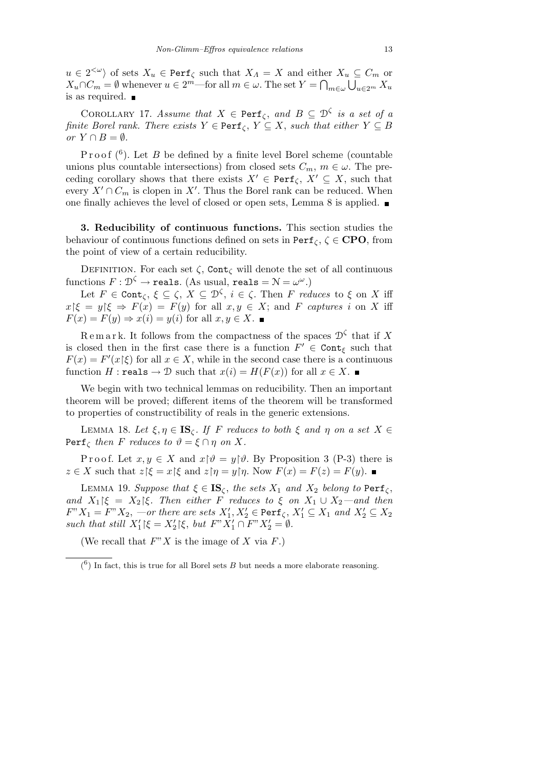$u \in 2^{< \omega}$  of sets  $X_u \in \text{Perf}_{\zeta}$  such that  $X_A = X$  and either  $X_u \subseteq C_m$  or  $X_u \cap C_m = \emptyset$  whenever  $u \in 2^m$ —for all  $m \in \omega$ . The set  $Y = \bigcap_{m \in \omega} \bigcup_{u \in 2^m} X_u$ is as required.

COROLLARY 17. *Assume that*  $X \in \text{Perf}_{\zeta}$ , and  $B \subseteq \mathcal{D}^{\zeta}$  is a set of a *finite Borel rank. There exists*  $Y \in \text{Perf}_{\zeta}$ ,  $Y \subseteq X$ , *such that either*  $Y \subseteq B$ *or*  $Y \cap B = ∅$ *.* 

Proof  $(6)$ . Let *B* be defined by a finite level Borel scheme (countable unions plus countable intersections) from closed sets  $C_m$ ,  $m \in \omega$ . The preceding corollary shows that there exists  $X' \in \text{Perf}_{\zeta}, X' \subseteq X$ , such that every  $X' \cap C_m$  is clopen in  $X'$ . Thus the Borel rank can be reduced. When one finally achieves the level of closed or open sets, Lemma 8 is applied.

**3. Reducibility of continuous functions.** This section studies the behaviour of continuous functions defined on sets in Perf*<sup>ζ</sup>* , *ζ ∈* **CPO**, from the point of view of a certain reducibility.

DEFINITION. For each set  $\zeta$ , Cont<sub> $\zeta$ </sub> will denote the set of all continuous functions  $F: \mathcal{D}^{\zeta} \to \texttt{reals}.$  (As usual,  $\texttt{reals} = \mathcal{N} = \omega^{\omega}.$ )

Let  $F \in \text{Cont}_{\zeta}, \xi \subseteq \zeta, X \subseteq \mathcal{D}^{\zeta}, i \in \zeta$ . Then  $F$  *reduces* to  $\xi$  on  $X$  iff  $x \in \mathcal{E}$   $\neq$   $F(x) = F(y)$  for all  $x, y \in X$ ; and *F captures i* on *X* iff  $F(x) = F(y) \Rightarrow x(i) = y(i)$  for all  $x, y \in X$ .

Remark. It follows from the compactness of the spaces  $\mathcal{D}^{\zeta}$  that if X is closed then in the first case there is a function  $F' \in \text{Cont}_{\xi}$  such that  $F(x) = F'(x|\xi)$  for all  $x \in X$ , while in the second case there is a continuous function *H* : reals  $\rightarrow$  D such that  $x(i) = H(F(x))$  for all  $x \in X$ .

We begin with two technical lemmas on reducibility. Then an important theorem will be proved; different items of the theorem will be transformed to properties of constructibility of reals in the generic extensions.

*LEMMA* 18. *Let ξ, η*  $∈$  **IS**<sub>*ζ</sub>*. *If F reduces to both ξ and η on a set X*  $∈$ </sub>  $\text{Perf}_{\zeta}$  *then F reduces to*  $\vartheta = \xi \cap \eta$  *on X.* 

P r o o f. Let  $x, y \in X$  and  $x \upharpoonright \vartheta = y \upharpoonright \vartheta$ . By Proposition 3 (P-3) there is  $z \in X$  such that  $z \in \mathcal{E}$  and  $z \in \eta = y \in \eta$ . Now  $F(x) = F(z) = F(y)$ .

LEMMA 19. *Suppose that*  $ξ ∈ **IS**<sub>ζ</sub>$ *, the sets*  $X<sub>1</sub>$  *and*  $X<sub>2</sub>$  *belong to*  $\text{Perf}_ζ$ *, and*  $X_1 \upharpoonright \xi = X_2 \upharpoonright \xi$ *. Then either F reduces to*  $\xi$  *on*  $X_1 \cup X_2$ —and then  $F''X_1 = F''X_2$ , *—or there are sets*  $X'_1, X'_2 \in \text{Perf}_{\zeta}, X'_1 \subseteq X_1$  and  $X'_2 \subseteq X_2$ *such that still*  $X_1' \mid \xi = X_2' \mid \xi$ , *but*  $F'' X_1' \cap F'' X_2' = \emptyset$ .

(We recall that *F*"*X* is the image of *X* via *F*.)

 $(6)$  In fact, this is true for all Borel sets *B* but needs a more elaborate reasoning.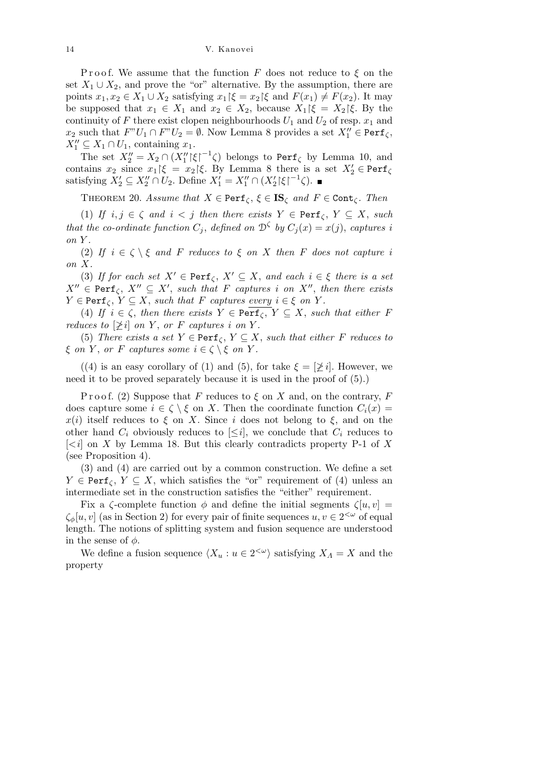14 V. Kanovei

Proof. We assume that the function F does not reduce to  $\xi$  on the set  $X_1 \cup X_2$ , and prove the "or" alternative. By the assumption, there are points  $x_1, x_2 \in X_1 \cup X_2$  satisfying  $x_1 \upharpoonright \xi = x_2 \upharpoonright \xi$  and  $F(x_1) \neq F(x_2)$ . It may be supposed that  $x_1 \in X_1$  and  $x_2 \in X_2$ , because  $X_1 \upharpoonright \xi = X_2 \upharpoonright \xi$ . By the continuity of *F* there exist clopen neighbourhoods  $U_1$  and  $U_2$  of resp.  $x_1$  and  $x_2$  such that  $F''U_1 \cap F''U_2 = \emptyset$ . Now Lemma 8 provides a set  $X''_1 \in \text{Perf}_{\zeta}$ ,  $X_1'' \subseteq X_1 \cap U_1$ , containing  $x_1$ .

The set  $X_2'' = X_2 \cap (X_1'' |\xi|^{-1} \zeta)$  belongs to Perf<sub>*ζ*</sub> by Lemma 10, and contains  $x_2$  since  $x_1 \upharpoonright \xi = x_2 \upharpoonright \xi$ . By Lemma 8 there is a set  $X_2' \in \text{Perf}_{\zeta}$ satisfying  $X_2' \subseteq X_2'' \cap U_2$ . Define  $X_1' = X_1'' \cap (X_2' \mid \xi \mid ^{-1} \zeta)$ .

THEOREM 20. *Assume that*  $X \in \text{Perf}_{\zeta}, \xi \in \text{IS}_{\zeta}$  *and*  $F \in \text{Cont}_{\zeta}$ *. Then* 

(1) *If*  $i, j \in \zeta$  *and*  $i < j$  *then there exists*  $Y \in \text{Perf}_{\zeta}, Y \subseteq X$ , *such that the co-ordinate function*  $C_j$ , *defined on*  $\mathcal{D}^{\zeta}$  *by*  $C_j(x) = x(j)$ , *captures i on Y .*

(2) If  $i \in \zeta \setminus \xi$  and F reduces to  $\xi$  on X then F does not capture *i on X.*

(3) *If for each set*  $X' \in \text{Perf}_{\zeta}$ ,  $X' \subseteq X$ , and each  $i \in \xi$  there is a set  $X'' \in \text{Perf}_{\zeta}$ ,  $X'' \subseteq X'$ , such that *F* captures *i* on  $X''$ , then there exists  $Y \in \text{Perf}_{\zeta}, Y \subseteq X$ , *such that F captures every*  $i \in \xi$  *on Y*.

(4) *If*  $i \in \zeta$ , *then there exists*  $Y \in \text{Perf}_{\zeta}$ ,  $Y \subseteq X$ , *such that either F reduces to*  $[\n\geq i]$  *on Y*, *or F captures i on Y*.

(5) *There exists a set*  $Y \in \text{Perf}_{\zeta}$ ,  $Y \subseteq X$ , *such that either F reduces to ξ on Y*, *or F captures some*  $i \in \zeta \setminus \xi$  *on Y*.

((4) is an easy corollary of (1) and (5), for take  $\xi = [\n\geq i]$ . However, we need it to be proved separately because it is used in the proof of (5).)

Proof. (2) Suppose that *F* reduces to  $\xi$  on *X* and, on the contrary, *F* does capture some  $i \in \zeta \setminus \xi$  on *X*. Then the coordinate function  $C_i(x) =$ *x*(*i*) itself reduces to  $\xi$  on *X*. Since *i* does not belong to  $\xi$ , and on the other hand  $C_i$  obviously reduces to  $\leq i$ , we conclude that  $C_i$  reduces to  $\lfloor$ <*i* $\rfloor$  on *X* by Lemma 18. But this clearly contradicts property P-1 of *X* (see Proposition 4).

(3) and (4) are carried out by a common construction. We define a set *Y*  $\in$  Perf<sub>*C*</sub>, *Y*  $\subseteq$  *X*, which satisfies the "or" requirement of (4) unless an intermediate set in the construction satisfies the "either" requirement.

Fix a *ζ*-complete function  $\phi$  and define the initial segments  $\zeta[u, v] =$  $\zeta_{\phi}[u, v]$  (as in Section 2) for every pair of finite sequences  $u, v \in 2^{<\omega}$  of equal length. The notions of splitting system and fusion sequence are understood in the sense of *φ*.

We define a fusion sequence  $\langle X_u : u \in 2^{\langle \omega \rangle} \rangle$  satisfying  $X_A = X$  and the property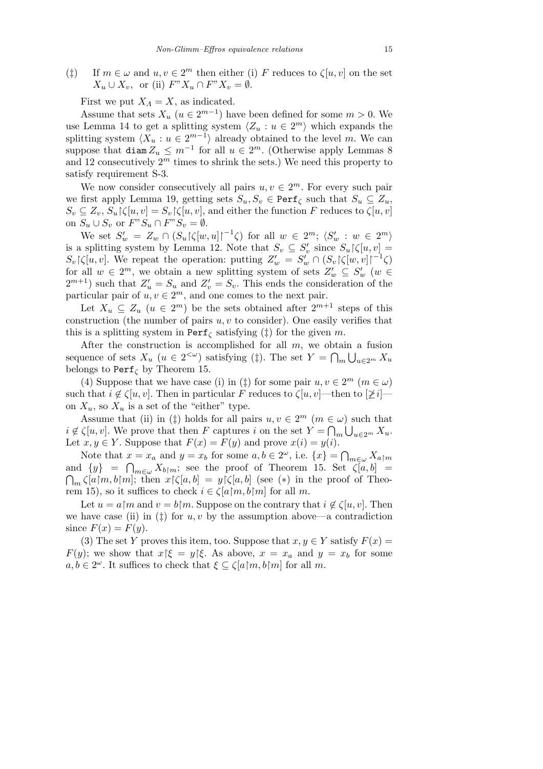( $\ddagger$ ) If  $m \in \omega$  and  $u, v \in 2^m$  then either (i) *F* reduces to  $\zeta[u, v]$  on the set  $X_u \cup X_v$ , or (ii)  $F''X_u \cap F''X_v = \emptyset$ .

First we put  $X_A = X$ , as indicated.

Assume that sets  $X_u$  ( $u \in 2^{m-1}$ ) have been defined for some  $m > 0$ . We use Lemma 14 to get a splitting system  $\langle Z_u : u \in 2^m \rangle$  which expands the splitting system  $\langle X_u : u \in 2^{m-1} \rangle$  already obtained to the level *m*. We can suppose that  $\text{diam } Z_u \leq m^{-1}$  for all  $u \in 2^m$ . (Otherwise apply Lemmas 8 and 12 consecutively  $2^m$  times to shrink the sets.) We need this property to satisfy requirement S-3.

We now consider consecutively all pairs  $u, v \in 2^m$ . For every such pair we first apply Lemma 19, getting sets  $S_u, S_v \in \text{Perf}_{\zeta}$  such that  $S_u \subseteq Z_u$ ,  $S_v \subseteq Z_v$ ,  $S_u$   $\zeta[u, v] = S_v$   $\zeta[u, v]$ , and either the function *F* reduces to  $\zeta[u, v]$ on  $S_u \cup S_v$  or  $F''S_u \cap F''S_v = \emptyset$ .

We set  $S'_w = Z_w \cap (S_u \upharpoonright (w, u) \upharpoonright^{-1} \zeta)$  for all  $w \in 2^m$ ;  $\langle S'_w : w \in 2^m \rangle$ is a splitting system by Lemma 12. Note that  $S_v \subseteq S_v'$  since  $S_u \upharpoonright \zeta[u, v] =$  $S_v \lceil \zeta[u, v]$ . We repeat the operation: putting  $Z'_w = S'_w \cap (S_v \lceil \zeta[w, v] \rceil^{-1} \zeta)$ for all  $w \in 2^m$ , we obtain a new splitting system of sets  $Z'_w \subseteq S'_w$  ( $w \in$  $2^{m+1}$ ) such that  $Z'_u = S_u$  and  $Z'_v = S_v$ . This ends the consideration of the particular pair of  $u, v \in 2^m$ , and one comes to the next pair.

Let  $X_u \subseteq Z_u$  ( $u \in 2^m$ ) be the sets obtained after  $2^{m+1}$  steps of this construction (the number of pairs *u, v* to consider). One easily verifies that this is a splitting system in  $\text{Perf}_{\zeta}$  satisfying ( $\ddagger$ ) for the given *m*.

After the construction is accomplished for all  $m$ , we obtain a fusion sequence of sets  $X_u$  ( $u \in 2^{<\omega}$ ) satisfying (‡). The set  $Y = \bigcap_m \bigcup_{u \in 2^m} X_u$ belongs to Perf*<sup>ζ</sup>* by Theorem 15.

(4) Suppose that we have case (i) in ( $\ddagger$ ) for some pair  $u, v \in 2^m$  ( $m \in \omega$ ) such that  $i \notin \zeta[u, v]$ . Then in particular *F* reduces to  $\zeta[u, v]$ —then to  $[\not\geq i]$  on  $X_u$ , so  $X_u$  is a set of the "either" type.

Assume that (ii) in ( $\ddagger$ ) holds for all pairs  $u, v \in 2^m$  ( $m \in \omega$ ) such that  $i \notin \zeta[u, v]$ . We prove that then *F* captures *i* on the set  $Y = \bigcap_m \bigcup_{u \in 2^m} X_u$ . Let  $x, y \in Y$ . Suppose that  $F(x) = F(y)$  and prove  $x(i) = y(i)$ .

Note that  $x = x_a$  and  $y = x_b$  for some  $a, b \in 2^\omega$ , i.e.  $\{x\} = \bigcap$  $x = x_a$  and  $y = x_b$  for some  $a, b \in 2^\omega$ , i.e.  $\{x\} = \bigcap_{m \in \omega} X_{a \upharpoonright m}$ and  $\{y\}$  =  $\bigcap_{m\in\omega} X_{b|m}$ ; see the proof of Theorem 15. Set  $\zeta[a,b]$  =  $\bigcap_{m} \zeta[a \upharpoonright m, b \upharpoonright m];$  then  $x \upharpoonright \zeta[a, b] = y \upharpoonright \zeta[a, b]$  (see (\*) in the proof of Theorem 15), so it suffices to check  $i \in \zeta[a/m, b/m]$  for all m.

Let  $u = a \upharpoonright m$  and  $v = b \upharpoonright m$ . Suppose on the contrary that  $i \notin \zeta[u, v]$ . Then we have case (ii) in  $(\ddagger)$  for  $u, v$  by the assumption above—a contradiction since  $F(x) = F(y)$ .

(3) The set *Y* proves this item, too. Suppose that  $x, y \in Y$  satisfy  $F(x) =$ *F*(*y*); we show that  $x \mid \xi = y \mid \xi$ . As above,  $x = x_a$  and  $y = x_b$  for some  $a, b \in 2^{\omega}$ . It suffices to check that  $\xi \subseteq \zeta[a/m, b/m]$  for all *m*.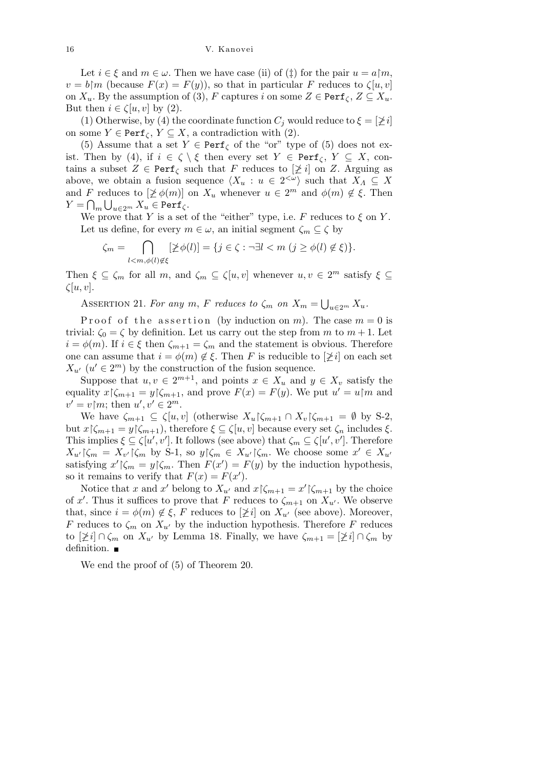Let  $i \in \xi$  and  $m \in \omega$ . Then we have case (ii) of ( $\ddagger$ ) for the pair  $u = a \upharpoonright m$ ,  $v = b \upharpoonright m$  (because  $F(x) = F(y)$ ), so that in particular *F* reduces to  $\zeta[u, v]$ on  $X_u$ . By the assumption of (3),  $F$  captures  $i$  on some  $Z \in \text{Perf}_{\zeta}$ ,  $Z \subseteq X_u$ . But then  $i \in \zeta[u, v]$  by (2).

(1) Otherwise, by (4) the coordinate function  $C_i$  would reduce to  $\xi = [\n\geq i]$ on some  $Y \in \text{Perf}_{\zeta}, Y \subseteq X$ , a contradiction with (2).

(5) Assume that a set  $Y \in \text{Perf}_{\zeta}$  of the "or" type of (5) does not exist. Then by (4), if  $i \in \zeta \setminus \xi$  then every set  $Y \in \text{Perf}_{\zeta}, Y \subseteq X$ , contains a subset  $Z \in \text{Perf}_{\zeta}$  such that *F* reduces to  $[\not\geq i]$  on *Z*. Arguing as above, we obtain a fusion sequence  $\langle X_u : u \in 2^{\langle \omega \rangle} \rangle$  such that  $X_A \subseteq X$ and *F* reduces to  $[\not\geq \phi(m)]$  on  $X_u$  whenever  $u \in 2^m$  and  $\phi(m) \notin \xi$ . Then  $Y = \bigcap_{m} \bigcup_{u \in 2^m} X_u \in \texttt{Perf}_{\zeta}.$ 

We prove that *Y* is a set of the "either" type, i.e. *F* reduces to  $\xi$  on *Y*. Let us define, for every  $m \in \omega$ , an initial segment  $\zeta_m \subseteq \zeta$  by  $\overline{\phantom{a}}$ 

$$
\zeta_m = \bigcap_{l < m, \phi(l) \notin \xi} [\not\geq \phi(l)] = \{ j \in \zeta : \neg \exists l < m \ (j \geq \phi(l) \notin \xi) \}.
$$

Then  $\xi \subseteq \zeta_m$  for all  $m$ , and  $\zeta_m \subseteq \zeta[u, v]$  whenever  $u, v \in 2^m$  satisfy  $\xi \subseteq$ *ζ*[*u, v*].

ASSERTION 21. For any  $m$ ,  $F$  *reduces to*  $\zeta_m$  *on*  $X_m =$ S *<sup>u</sup>∈*2*<sup>m</sup> Xu.*

Proof of the assertion (by induction on  $m$ ). The case  $m = 0$  is trivial:  $\zeta_0 = \zeta$  by definition. Let us carry out the step from *m* to  $m + 1$ . Let  $i = \phi(m)$ . If  $i \in \xi$  then  $\zeta_{m+1} = \zeta_m$  and the statement is obvious. Therefore one can assume that  $i = \phi(m) \notin \xi$ . Then *F* is reducible to  $[\not\geq i]$  on each set  $X_{u'}$  ( $u' \in 2^m$ ) by the construction of the fusion sequence.

Suppose that  $u, v \in 2^{m+1}$ , and points  $x \in X_u$  and  $y \in X_v$  satisfy the equality  $x \upharpoonright \zeta_{m+1} = y \upharpoonright \zeta_{m+1}$ , and prove  $F(x) = F(y)$ . We put  $u' = u \upharpoonright m$  and  $v' = v \, m$ ; then  $u', v' \in 2^m$ .

We have  $\zeta_{m+1} \subseteq \zeta[u,v]$  (otherwise  $X_u \, \zeta_{m+1} \cap X_v \, \zeta_{m+1} = \emptyset$  by S-2, but *x*  $\lceil \zeta_{m+1} \rceil = y \lceil \zeta_{m+1} \rceil$ , therefore *ξ* ⊆  $\zeta[u, v]$  because every set  $\zeta_n$  includes *ξ*. This implies  $\xi \subseteq \zeta[u', v']$ . It follows (see above) that  $\zeta_m \subseteq \zeta[u', v']$ . Therefore  $X_{u'}\vert \zeta_m = X_{v'}\vert \zeta_m$  by S-1, so  $y\vert \zeta_m \in X_{u'}\vert \zeta_m$ . We choose some  $x' \in X_{u'}$ satisfying  $x' \mid \zeta_m = y \mid \zeta_m$ . Then  $F(x') = F(y)$  by the induction hypothesis, so it remains to verify that  $F(x) = F(x')$ .

Notice that *x* and *x'* belong to  $X_{u'}$  and  $x \upharpoonright \zeta_{m+1} = x' \upharpoonright \zeta_{m+1}$  by the choice of x'. Thus it suffices to prove that *F* reduces to  $\zeta_{m+1}$  on  $X_{u'}$ . We observe that, since  $i = \phi(m) \notin \xi$ , F reduces to  $[\not\geq i]$  on  $X_{u'}$  (see above). Moreover, *F* reduces to  $\zeta_m$  on  $X_{u'}$  by the induction hypothesis. Therefore *F* reduces to  $[\n\geq i] \cap \zeta_m$  on  $X_{u'}$  by Lemma 18. Finally, we have  $\zeta_{m+1} = [\n\geq i] \cap \zeta_m$  by definition.

We end the proof of (5) of Theorem 20.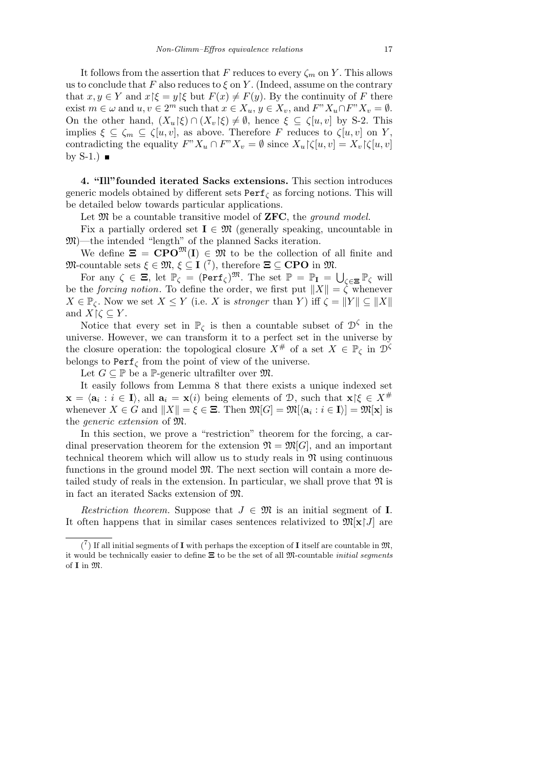It follows from the assertion that *F* reduces to every  $\zeta_m$  on *Y*. This allows us to conclude that  $F$  also reduces to  $\xi$  on  $Y$ . (Indeed, assume on the contrary that  $x, y \in Y$  and  $x \in \mathcal{E} = y \in \mathcal{E}$  but  $F(x) \neq F(y)$ . By the continuity of F there exist  $m \in \omega$  and  $u, v \in 2^m$  such that  $x \in X_u$ ,  $y \in X_v$ , and  $F''X_u \cap F''X_v = \emptyset$ . On the other hand,  $(X_u \xi) \cap (X_v \xi) \neq \emptyset$ , hence  $\xi \subseteq \xi[u, v]$  by S-2. This implies  $\xi \subseteq \zeta_m \subseteq \zeta[u, v]$ , as above. Therefore *F* reduces to  $\zeta[u, v]$  on *Y*, contradicting the equality  $F''X_u \cap F''X_v = \emptyset$  since  $X_u \upharpoonright \zeta[u, v] = X_v \upharpoonright \zeta[u, v]$ by  $S-1.$ )

**4. "Ill"founded iterated Sacks extensions.** This section introduces generic models obtained by different sets Perf*<sup>ζ</sup>* as forcing notions. This will be detailed below towards particular applications.

Let M be a countable transitive model of **ZFC**, the *ground model.*

Fix a partially ordered set  $I \in \mathfrak{M}$  (generally speaking, uncountable in M)—the intended "length" of the planned Sacks iteration.

We define  $\mathbf{\Xi} = \mathbf{CPO}^{\mathfrak{M}}(\mathbf{I}) \in \mathfrak{M}$  to be the collection of all finite and  $\mathfrak{M}$ -countable sets  $\xi \in \mathfrak{M}, \xi \subseteq I$  (<sup>7</sup>), therefore  $\Xi \subseteq \mathbf{CPO}$  in  $\mathfrak{M}$ .

For any  $\zeta \in \Xi$ , let  $\mathbb{P}_{\zeta} = (\text{Perf}_{\zeta})^{\mathfrak{M}}$ . The set  $\mathbb{P} = \mathbb{P}_{\mathbf{I}} = \bigcup$ *ζ∈***Ξ** P*<sup>ζ</sup>* will be the *forcing notion*. To define the order, we first put  $||X|| = \zeta$  whenever  $X \in \mathbb{P}_{\zeta}$ . Now we set  $X \leq Y$  (i.e. *X* is *stronger* than *Y*) iff  $\zeta = \|Y\| \subseteq \|X\|$ and  $X \upharpoonright \zeta \subseteq Y$ .

Notice that every set in  $\mathbb{P}_{\zeta}$  is then a countable subset of  $\mathcal{D}^{\zeta}$  in the universe. However, we can transform it to a perfect set in the universe by the closure operation: the topological closure  $X^{\#}$  of a set  $X \in \mathbb{P}_{\zeta}$  in  $\mathcal{D}^{\zeta}$ belongs to  $\text{Perf}_{\zeta}$  from the point of view of the universe.

Let  $G \subseteq \mathbb{P}$  be a  $\mathbb{P}$ -generic ultrafilter over  $\mathfrak{M}$ .

It easily follows from Lemma 8 that there exists a unique indexed set  $\mathbf{x} = \langle \mathbf{a}_i : i \in \mathbf{I} \rangle$ , all  $\mathbf{a}_i = \mathbf{x}(i)$  being elements of D, such that  $\mathbf{x} \in \mathcal{X}^{\#}$ whenever  $X \in G$  and  $||X|| = \xi \in \Xi$ . Then  $\mathfrak{M}[G] = \mathfrak{M}[\langle \mathbf{a}_i : i \in \mathbf{I} \rangle] = \mathfrak{M}[\mathbf{x}]$  is the *generic extension* of M.

In this section, we prove a "restriction" theorem for the forcing, a cardinal preservation theorem for the extension  $\mathfrak{N} = \mathfrak{M}[G]$ , and an important technical theorem which will allow us to study reals in  $\mathfrak{N}$  using continuous functions in the ground model  $\mathfrak{M}$ . The next section will contain a more detailed study of reals in the extension. In particular, we shall prove that  $\mathfrak{N}$  is in fact an iterated Sacks extension of M.

*Restriction theorem.* Suppose that  $J \in \mathfrak{M}$  is an initial segment of **I**. It often happens that in similar cases sentences relativized to  $\mathfrak{M}[\mathbf{x} \mid J]$  are

 $\binom{7}{1}$  If all initial segments of **I** with perhaps the exception of **I** itself are countable in  $\mathfrak{M}$ , it would be technically easier to define **Ξ** to be the set of all M-countable *initial segments* of **I** in M.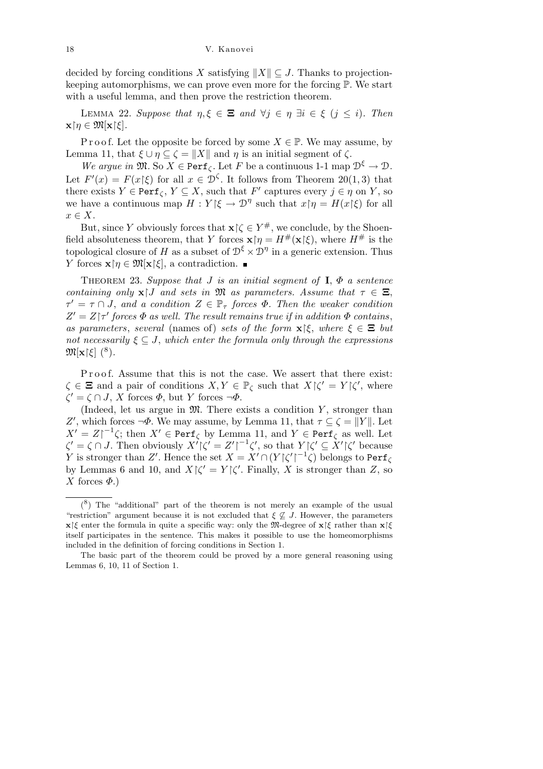18 V. Kanovei

decided by forcing conditions *X* satisfying  $||X|| \subseteq J$ . Thanks to projectionkeeping automorphisms, we can prove even more for the forcing P. We start with a useful lemma, and then prove the restriction theorem.

*LEMMA* 22. *Suppose that*  $η, ξ ∈ **E**$  *and*  $∀j ∈ η ∃i ∈ ξ$  ( $j ≤ i$ ). Then  $\mathbf{x} \upharpoonright \eta \in \mathfrak{M}[\mathbf{x} \upharpoonright \xi].$ 

P r o o f. Let the opposite be forced by some  $X \in \mathbb{P}$ . We may assume, by Lemma 11, that  $\xi$  *∪*  $η$   $\subseteq$   $\zeta$  =  $||X||$  and  $η$  is an initial segment of  $ζ$ .

*We argue in*  $\mathfrak{M}$ . So  $X \in \text{Perf}_{\zeta}$ . Let *F* be a continuous 1-1 map  $\mathfrak{D}^{\xi} \to \mathfrak{D}$ . Let  $F'(x) = F(x|\xi)$  for all  $x \in \mathcal{D}^{\zeta}$ . It follows from Theorem 20(1,3) that there exists  $Y \in \text{Perf}_{\zeta}$ ,  $Y \subseteq X$ , such that  $F'$  captures every  $j \in \eta$  on  $Y$ , so we have a continuous map  $H: Y \xi \to \mathcal{D}^{\eta}$  such that  $x \upharpoonright \eta = H(x \upharpoonright \xi)$  for all *x ∈ X*.

But, since *Y* obviously forces that  $\mathbf{x} \upharpoonright \zeta \in Y^{\#}$ , we conclude, by the Shoenfield absoluteness theorem, that *Y* forces  $\mathbf{x} \restriction \eta = H^{\#}(\mathbf{x} \restriction \xi)$ , where  $H^{\#}$  is the topological closure of *H* as a subset of  $\mathcal{D}^{\xi} \times \mathcal{D}^{\eta}$  in a generic extension. Thus *Y* forces **x** $\uparrow$ *η*  $\in$   $\mathfrak{M}[\mathbf{x}|\xi]$ , a contradiction.

THEOREM 23. *Suppose that J is an initial segment of* **I**,  $\Phi$  *a sentence containing only*  $\mathbf{x}$  *I and sets in*  $\mathfrak{M}$  *as parameters. Assume that*  $\tau \in \Xi$ ,  $\tau' = \tau \cap J$ , and a condition  $Z \in \mathbb{P}_{\tau}$  forces  $\Phi$ . Then the weaker condition  $Z' = Z\tau'$  *forces*  $\Phi$  *as well. The result remains true if in addition*  $\Phi$  *contains*, *as parameters, several* (names of) *sets of the form*  $\mathbf{x} \mid \xi$ *, where*  $\xi \in \Xi$  *but not necessarily*  $\xi \subseteq J$ , *which enter the formula only through the expressions*  $\mathfrak{M}[\mathbf{x}|\xi]$  (<sup>8</sup>).

Proof. Assume that this is not the case. We assert that there exist:  $\zeta \in \Xi$  and a pair of conditions  $X, Y \in \mathbb{P}_{\zeta}$  such that  $X \upharpoonright \zeta' = Y \upharpoonright \zeta'$ , where *ζ*<sup> $′$ </sup> = *ζ ∩ J*, *X* forces *Φ*, but *Y* forces *¬Φ*.

(Indeed, let us argue in  $\mathfrak{M}$ . There exists a condition  $Y$ , stronger than *Z*<sup>*'*</sup>, which forces *¬Φ*. We may assume, by Lemma 11, that *τ* ⊆  $\zeta$  = *K*<sup>*Y*</sup> *k*. Let  $X' = Z \upharpoonright^{-1} \zeta$ ; then  $X' \in \text{Perf}_{\zeta}$  by Lemma 11, and  $Y \in \text{Perf}_{\zeta}$  as well. Let  $\zeta' = \zeta \cap J$ . Then obviously  $X'|\zeta' = Z'|^{-1}\zeta'$ , so that  $Y|\zeta' \subseteq X'|\zeta'$  because *Y* is stronger than *Z'*. Hence the set  $X = X' \cap (Y|\zeta'|^{-1}\zeta)$  belongs to Perf<sub> $\zeta$ </sub> by Lemmas 6 and 10, and  $X\vert \zeta' = Y\vert \zeta'$ . Finally, *X* is stronger than *Z*, so *X* forces  $\Phi$ .)

 $(8)$  The "additional" part of the theorem is not merely an example of the usual "restriction" argument because it is not excluded that  $\xi \nsubseteq J$ . However, the parameters **x**|*ξ* enter the formula in quite a specific way: only the M-degree of **x**|*ξ* rather than **x**|*ξ* itself participates in the sentence. This makes it possible to use the homeomorphisms included in the definition of forcing conditions in Section 1.

The basic part of the theorem could be proved by a more general reasoning using Lemmas 6, 10, 11 of Section 1.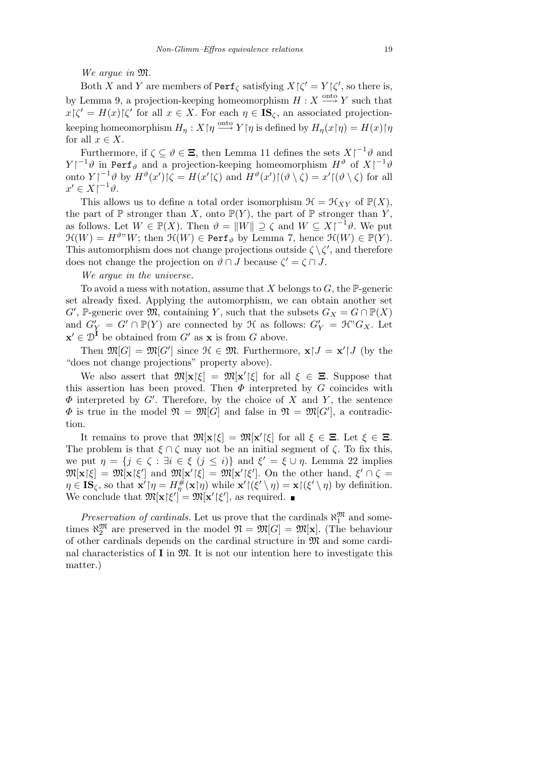*We argue in* M*.*

Both *X* and *Y* are members of  $\text{Perf}_{\zeta}$  satisfying  $X|\zeta' = Y|\zeta'$ , so there is, by Lemma 9, a projection-keeping homeomorphism  $H: X \xrightarrow{\text{onto }} Y$  such that  $x \zeta' = H(x) \zeta'$  for all  $x \in X$ . For each  $\eta \in \mathbb{IS}_{\zeta}$ , an associated projection- $\mathcal{L}_\eta: X \restriction \eta \stackrel{\text{onto}}{\longrightarrow} Y \restriction \eta \text{ is defined by } H_\eta(x \restriction \eta) = H(x) \restriction \eta.$ for all  $x \in X$ .

Furthermore, if  $\zeta \subseteq \vartheta \in \Xi$ , then Lemma 11 defines the sets  $X \upharpoonright^{-1} \vartheta$  and *Y*<sup> $\mid$ -1</sub> $\vartheta$  in Perf<sub>*i*</sub> and a projection-keeping homeomorphism  $H^{\vartheta}$  of  $X \mid^{-1} \vartheta$ </sup> onto  $Y|^{-1}\vartheta$  by  $H^{\vartheta}(x')|\zeta = H(x'|\zeta)$  and  $H^{\vartheta}(x')|(\vartheta \setminus \zeta) = x' |(\vartheta \setminus \zeta)$  for all  $x' \in X \vert^{-1} \vartheta$ .

This allows us to define a total order isomorphism  $\mathcal{H} = \mathcal{H}_{XY}$  of  $\mathbb{P}(X)$ , the part of  $\mathbb P$  stronger than *X*, onto  $\mathbb P(Y)$ , the part of  $\mathbb P$  stronger than *Y*, as follows. Let  $W \in \mathbb{P}(X)$ . Then  $\vartheta = ||W|| \supseteq \zeta$  and  $W \subseteq X \uparrow^{-1} \vartheta$ . We put  $\mathfrak{H}(W) = H^{\vartheta} W$ ; then  $\mathfrak{H}(W) \in \text{Perf}_{\vartheta}$  by Lemma 7, hence  $\mathfrak{H}(W) \in \mathbb{P}(Y)$ . This automorphism does not change projections outside  $\zeta \setminus \zeta'$ , and therefore does not change the projection on  $\vartheta \cap J$  because  $\zeta' = \zeta \cap J$ .

*We argue in the universe*.

To avoid a mess with notation, assume that *X* belongs to *G*, the P-generic set already fixed. Applying the automorphism, we can obtain another set  $G'$ , P-generic over  $\mathfrak{M}$ , containing *Y*, such that the subsets  $G_X = G \cap \mathbb{P}(X)$ and  $G'_Y = G' \cap \mathbb{P}(Y)$  are connected by  $\mathcal{H}$  as follows:  $G'_Y = \mathcal{H}^{\gamma} G_X$ . Let  $\mathbf{x}' \in \mathcal{D}^{\mathbf{I}}$  be obtained from *G'* as  $\mathbf{x}$  is from *G* above.

Then  $\mathfrak{M}[G] = \mathfrak{M}[G']$  since  $\mathfrak{H} \in \mathfrak{M}$ . Furthermore,  $\mathbf{x} \mid J = \mathbf{x}' \mid J$  (by the "does not change projections" property above).

We also assert that  $\mathfrak{M}[\mathbf{x}|\xi] = \mathfrak{M}[\mathbf{x}'|\xi]$  for all  $\xi \in \Xi$ . Suppose that this assertion has been proved. Then  $\Phi$  interpreted by *G* coincides with  $\Phi$  interpreted by *G*<sup>*i*</sup>. Therefore, by the choice of *X* and *Y*, the sentence  $\Phi$  is true in the model  $\mathfrak{N} = \mathfrak{M}[G]$  and false in  $\mathfrak{N} = \mathfrak{M}[G']$ , a contradiction.

It remains to prove that  $\mathfrak{M}[\mathbf{x}|\xi] = \mathfrak{M}[\mathbf{x}'|\xi]$  for all  $\xi \in \Xi$ . Let  $\xi \in \Xi$ . The problem is that  $\xi \cap \zeta$  may not be an initial segment of  $\zeta$ . To fix this, we put  $\eta = \{j \in \zeta : \exists i \in \xi \ (j \leq i)\}\$ and  $\xi' = \xi \cup \eta$ . Lemma 22 implies  $\mathfrak{M}[\mathbf{x}|\xi] = \mathfrak{M}[\mathbf{x}|\xi']$  and  $\mathfrak{M}[\mathbf{x}'|\xi] = \mathfrak{M}[\mathbf{x}'|\xi']$ . On the other hand,  $\xi' \cap \zeta =$  $\eta \in \mathbf{IS}_{\zeta}$ , so that  $\mathbf{x}'\!\upharpoonright_{\eta} = H_{\eta}^{\#}(\mathbf{x}\!\upharpoonright_{\eta})$  while  $\mathbf{x}'\!\upharpoonright_{\zeta}\!\!\langle \zeta'\setminus \eta \rangle = \mathbf{x}\!\upharpoonright_{\zeta}\!\!\langle \zeta'\setminus \eta \rangle$  by definition. We conclude that  $\mathfrak{M}[\mathbf{x}|\xi'] = \mathfrak{M}[\mathbf{x}'|\xi'],$  as required.

*Preservation of cardinals.* Let us prove that the cardinals  $\aleph_1^{\mathfrak{M}}$  and sometimes  $\aleph_2^{\mathfrak{M}}$  are preserved in the model  $\mathfrak{N} = \mathfrak{M}[G] = \mathfrak{M}[\mathbf{x}]$ . (The behaviour of other cardinals depends on the cardinal structure in M and some cardinal characteristics of  $I$  in  $\mathfrak{M}$ . It is not our intention here to investigate this matter.)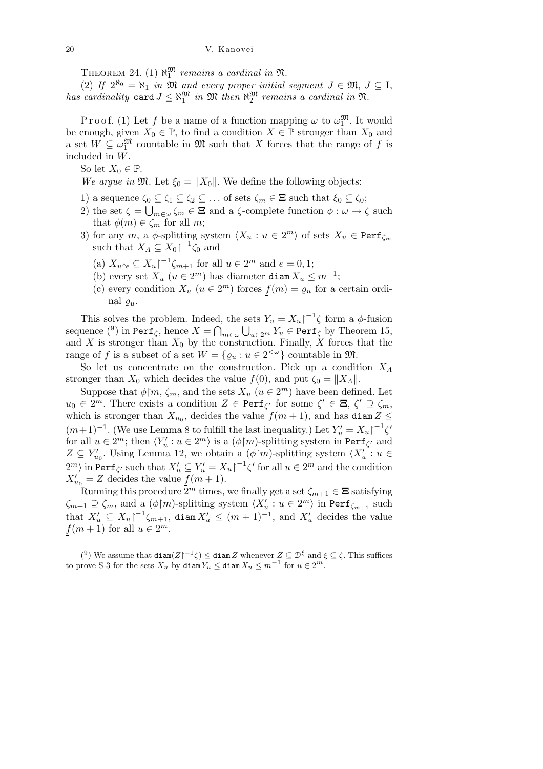THEOREM 24. (1)  $\aleph_1^{\mathfrak{M}}$  remains a cardinal in  $\mathfrak{N}$ .

(2) If  $2^{\aleph_0} = \aleph_1$  *in*  $\mathfrak{M}$  *and every proper initial segment*  $J \in \mathfrak{M}, J \subseteq I$ , *has cardinality* card  $J \leq \aleph_1^{\mathfrak{M}}$  *in*  $\mathfrak{M}$  *then*  $\aleph_2^{\mathfrak{M}}$  *remains a cardinal in*  $\mathfrak{N}$ *.* 

Proof. (1) Let  $f$  be a name of a function mapping  $\omega$  to  $\omega_1^{\mathfrak{M}}$ . It would be enough, given  $X_0 \in \mathbb{P}$ , to find a condition  $X \in \mathbb{P}$  stronger than  $X_0$  and a set  $W \subseteq \omega_1^{\mathfrak{M}}$  countable in  $\mathfrak{M}$  such that *X* forces that the range of *f* is included in *W*.

So let  $X_0 \in \mathbb{P}$ .

*We argue in*  $\mathfrak{M}$ *.* Let  $\xi_0 = \|X_0\|$ *.* We define the following objects:

- 1) a sequence  $\zeta_0 \subseteq \zeta_1 \subseteq \zeta_2 \subseteq \ldots$  of sets  $\zeta_m \in \Xi$  such that  $\xi_0 \subseteq \zeta_0$ ;
- 2) the set  $\zeta = \bigcup_{m \in \omega} \zeta_m \in \Xi$  and a  $\zeta$ -complete function  $\phi : \omega \to \zeta$  such that  $\phi(m) \in \zeta_m$  for all *m*;
- 3) for any *m*, a  $\phi$ -splitting system  $\langle X_u : u \in 2^m \rangle$  of sets  $X_u \in \text{Perf}_{\zeta_m}$ such that  $X_A \subseteq X_0 \upharpoonright^{-1} \zeta_0$  and
	- $(X_0 \times X_{u \wedge e} \subseteq X_u \mid u \wedge u \in 2^m \text{ and } e = 0, 1;$
	- (b) every set  $X_u$  ( $u \in 2^m$ ) has diameter diam  $X_u \leq m^{-1}$ ;
	- (c) every condition  $X_u$   $(u \in 2^m)$  forces  $f(m) = \varrho_u$  for a certain ordinal  $\rho_u$ .

This solves the problem. Indeed, the sets  $Y_u = X_u \begin{bmatrix} -1 \\ \zeta \end{bmatrix}$  form a  $\phi$ -fusion sequence  $\binom{9}{1}$  in Perf<sub> $\zeta$ , hence  $X = \bigcap_{m \in \omega} \bigcup_{u \in 2^m} Y_u \in \text{Perf}_{\zeta}$  by Theorem 15,</sub> and *X* is stronger than  $X_0$  by the construction. Finally,  $\hat{X}$  forces that the range of *f* is a subset of a set  $W = \{ \varrho_u : u \in 2^{<\omega} \}$  countable in  $\mathfrak{M}$ .

So let us concentrate on the construction. Pick up a condition *X<sup>Λ</sup>* stronger than  $X_0$  which decides the value  $f(0)$ , and put  $\zeta_0 = \|X_A\|$ .

Suppose that  $\phi \upharpoonright m$ ,  $\zeta_m$ , and the sets  $X_u(u \in 2^m)$  have been defined. Let  $u_0 \in 2^m$ . There exists a condition  $Z \in \text{Perf}_{\zeta'}$  for some  $\zeta' \in \Xi$ ,  $\zeta' \supseteq \zeta_m$ , which is stronger than  $X_{u_0}$ , decides the value  $f(m + 1)$ , and has diam  $Z \le$  $(m+1)^{-1}$ . (We use Lemma 8 to fulfill the last inequality.) Let  $Y'_u = X_u \mid x'^{-1} \zeta'$ for all  $u \in 2^m$ ; then  $\langle Y'_u : u \in 2^m \rangle$  is a  $(\phi \upharpoonright m)$ -splitting system in Perf<sub> $\zeta'$ </sub> and  $Z \subseteq Y'_{u_0}$ . Using Lemma 12, we obtain a  $(\phi \upharpoonright m)$ -splitting system  $\langle X'_u : u \in$  $2^m$ *i* in Perf<sub>*ζ'*</sub> such that  $X'_u \subseteq Y'_u = X_u$ <sub>*i*</sub><sup> $-1$ </sup> $\zeta'$  for all  $u \in 2^m$  and the condition  $X'_{u_0} = Z$  decides the value  $f(m+1)$ .

Running this procedure  $2^m$  times, we finally get a set  $\zeta_{m+1} \in \Xi$  satisfying  $\zeta_{m+1} \supseteq \zeta_m$ *, and a*  $(\phi \upharpoonright m)$ *-splitting system*  $\langle X'_u : u \in 2^m \rangle$  *in Perf* $\zeta_{m+1}$  *such* that  $X'_u \subseteq X_u \upharpoonright^{-1} \zeta_{m+1}$ , diam  $X'_u \leq (m+1)^{-1}$ , and  $X'_u$  decides the value  $f(m+1)$  for all  $u \in 2^m$ .

 $(2^{\circ})$  We assume that  $\text{diam}(Z)^{-1}\zeta$   $\leq$   $\text{diam }Z$  whenever  $Z \subseteq \mathcal{D}^{\xi}$  and  $\xi \subseteq \zeta$ . This suffices to prove S-3 for the sets  $X_u$  by diam  $\overline{Y_u} \leq$  diam  $X_u \leq m^{-1}$  for  $u \in 2^m$ .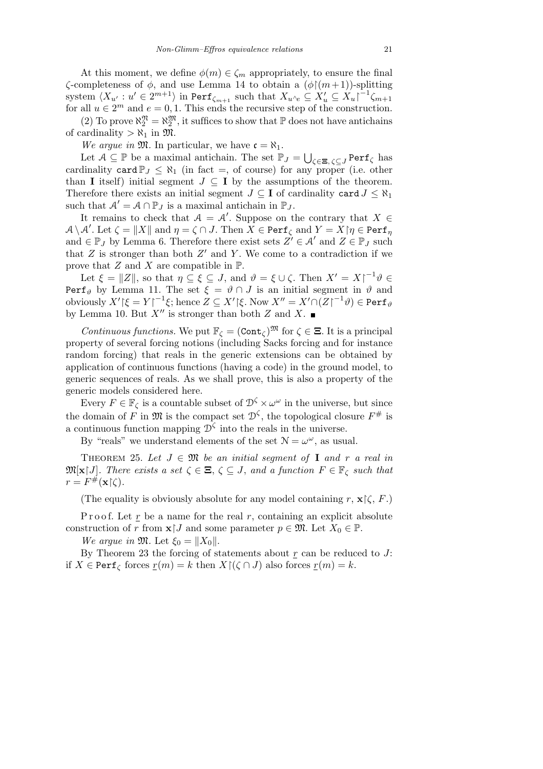At this moment, we define  $\phi(m) \in \zeta_m$  appropriately, to ensure the final *ζ*-completeness of *φ*, and use Lemma 14 to obtain a  $(φ)(m+1)$ -splitting system  $\langle X_{u'}: u' \in 2^{m+1} \rangle$  in  $\texttt{Perf}_{\zeta_{m+1}}$  such that  $X_{u \wedge e} \subseteq X'_u \subseteq X_u \rceil^{-1} \zeta_{m+1}$ for all  $u \in 2^m$  and  $e = 0, 1$ . This ends the recursive step of the construction.

(2) To prove  $\aleph_2^{\mathfrak{N}} = \aleph_2^{\mathfrak{M}}$ , it suffices to show that  $\mathbb P$  does not have antichains of cardinality  $>\aleph_1$  in  $\mathfrak{M}$ .

*We argue in*  $\mathfrak{M}$ . In particular, we have  $\mathfrak{c} = \aleph_1$ .

Let  $A \subseteq \mathbb{P}$  be a maximal antichain. The set  $\mathbb{P}_J =$ S *ζ∈***Ξ***, ζ⊆J* Perf*<sup>ζ</sup>* has cardinality card  $\mathbb{P}_J \leq \aleph_1$  (in fact =, of course) for any proper (i.e. other than **I** itself) initial segment  $J \subseteq I$  by the assumptions of the theorem. Therefore there exists an initial segment  $J \subseteq I$  of cardinality card  $J \leq \aleph_1$ such that  $\mathcal{A}' = \mathcal{A} \cap \mathbb{P}_J$  is a maximal antichain in  $\mathbb{P}_J$ .

It remains to check that  $A = A'$ . Suppose on the contrary that  $X \in$  $A \setminus A'$ . Let  $\zeta = \|X\|$  and  $\eta = \zeta \cap J$ . Then  $X \in \texttt{Perf}_\zeta$  and  $Y = X {\restriction} \eta \in \texttt{Perf}_\eta$ and  $\in \mathbb{P}_J$  by Lemma 6. Therefore there exist sets  $Z' \in \mathcal{A}'$  and  $Z \in \mathbb{P}_J$  such that  $Z$  is stronger than both  $Z'$  and  $Y$ . We come to a contradiction if we prove that *Z* and *X* are compatible in P.

Let  $\xi = \|Z\|$ , so that  $\eta \subseteq \xi \subseteq J$ , and  $\vartheta = \xi \cup \zeta$ . Then  $X' = X \uparrow^{-1} \vartheta \in$ Perf<sub> $\vartheta$ </sub> by Lemma 11. The set  $\xi = \vartheta \cap J$  is an initial segment in  $\vartheta$  and  $\phi$  obviously  $X'$   $\restriction \xi = Y \restriction^{-1} \xi$ ; hence  $Z \subseteq X' \restriction \xi$ . Now  $X'' = X' \cap (Z \restriction^{-1} \vartheta) \in \texttt{Perf}_\vartheta$ by Lemma 10. But  $X''$  is stronger than both  $Z$  and  $X$ .

*Continuous functions.* We put  $\mathbb{F}_\zeta = (\text{Cont}_\zeta)^{\mathfrak{M}}$  for  $\zeta \in \Xi$ . It is a principal property of several forcing notions (including Sacks forcing and for instance random forcing) that reals in the generic extensions can be obtained by application of continuous functions (having a code) in the ground model, to generic sequences of reals. As we shall prove, this is also a property of the generic models considered here.

Every  $F \in \mathbb{F}_{\zeta}$  is a countable subset of  $\mathcal{D}^{\zeta} \times \omega^{\omega}$  in the universe, but since the domain of *F* in  $\mathfrak{M}$  is the compact set  $\mathcal{D}^{\zeta}$ , the topological closure  $F^{\#}$  is a continuous function mapping  $\mathcal{D}^{\zeta}$  into the reals in the universe.

By "reals" we understand elements of the set  $\mathcal{N} = \omega^{\omega}$ , as usual.

THEOREM 25. Let  $J \in \mathfrak{M}$  be an initial segment of **I** and r a real in  $\mathfrak{M}[\mathbf{x} \mid J]$ . There exists a set  $\zeta \in \Xi$ ,  $\zeta \subseteq J$ , and a function  $F \in \mathbb{F}_{\zeta}$  such that  $r = F^{\#}(\mathbf{x} \upharpoonright \zeta).$ 

(The equality is obviously absolute for any model containing  $r$ ,  $\mathbf{x}$  $\zeta$ ,  $F$ .)

P r o o f. Let r be a name for the real r, containing an explicit absolute construction of *r* from  $\mathbf{x}$  *J* and some parameter  $p \in \mathfrak{M}$ . Let  $X_0 \in \mathbb{P}$ .

*We argue in*  $\mathfrak{M}$ *.* Let  $\xi_0 = ||X_0||$ *.* 

By Theorem 23 the forcing of statements about *r* can be reduced to *J*: if  $X \in \text{Perf}_{\zeta}$  forces  $r(m) = k$  then  $X \upharpoonright (\zeta \cap J)$  also forces  $r(m) = k$ .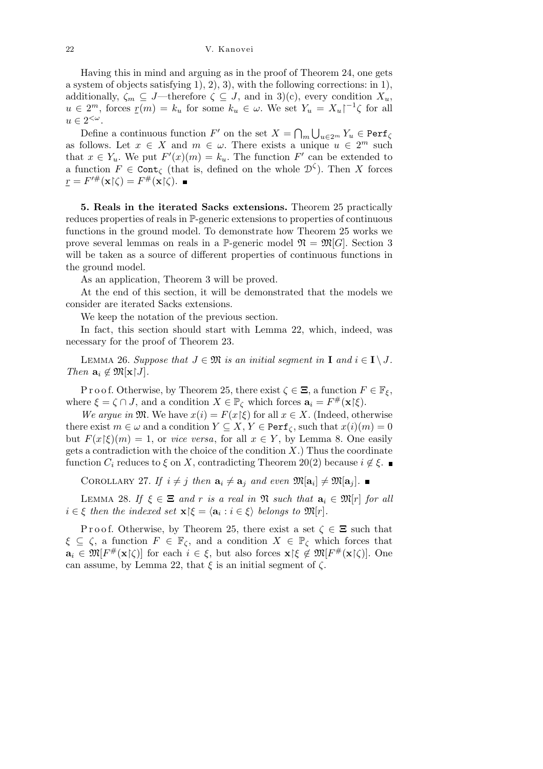Having this in mind and arguing as in the proof of Theorem 24, one gets a system of objects satisfying 1), 2), 3), with the following corrections: in 1), additionally,  $\zeta_m \subseteq J$ —therefore  $\zeta \subseteq J$ , and in 3)(c), every condition  $X_u$ ,  $u \in 2^m$ , forces  $\underline{r}(m) = k_u$  for some  $k_u \in \omega$ . We set  $Y_u = X_u \upharpoonright^{-1} \zeta$  for all  $u \in 2^{<\omega}.$  $\overline{a}$ S

Define a continuous function  $F'$  on the set  $X =$ *m*  $u \in 2^m$   $Y_u \in \texttt{Perf}_{\zeta}$ as follows. Let  $x \in X$  and  $m \in \omega$ . There exists a unique  $u \in 2^m$  such that  $x \in Y_u$ . We put  $F'(x)(m) = k_u$ . The function  $F'$  can be extended to a function  $F \in \text{Cont}_{\zeta}$  (that is, defined on the whole  $\mathcal{D}^{\zeta}$ ). Then *X* forces  $\underline{r} = F'^{\#}(\mathbf{x} | \zeta) = F^{\#}(\mathbf{x} | \zeta).$ 

**5. Reals in the iterated Sacks extensions.** Theorem 25 practically reduces properties of reals in P-generic extensions to properties of continuous functions in the ground model. To demonstrate how Theorem 25 works we prove several lemmas on reals in a P-generic model  $\mathfrak{N} = \mathfrak{M}[G]$ . Section 3 will be taken as a source of different properties of continuous functions in the ground model.

As an application, Theorem 3 will be proved.

At the end of this section, it will be demonstrated that the models we consider are iterated Sacks extensions.

We keep the notation of the previous section.

In fact, this section should start with Lemma 22, which, indeed, was necessary for the proof of Theorem 23.

LEMMA 26. Suppose that  $J \in \mathfrak{M}$  is an initial seqment in **I** and  $i \in I \setminus J$ . *Then*  $\mathbf{a}_i \notin \mathfrak{M}[\mathbf{x} \mid J]$ *.* 

P r o o f. Otherwise, by Theorem 25, there exist  $\zeta \in \Xi$ , a function  $F \in \mathbb{F}_{\xi}$ , where  $\xi = \zeta \cap J$ , and a condition  $X \in \mathbb{P}_{\zeta}$  which forces  $\mathbf{a}_i = F^{\#}(\mathbf{x}|\xi)$ .

*We arque in*  $\mathfrak{M}$ *.* We have  $x(i) = F(x|\xi)$  for all  $x \in X$ *.* (Indeed, otherwise there exist  $m \in \omega$  and a condition  $Y \subseteq X, Y \in \text{Perf}_{\zeta}$ , such that  $x(i)(m) = 0$ but  $F(x|\xi)(m) = 1$ , or *vice versa*, for all  $x \in Y$ , by Lemma 8. One easily gets a contradiction with the choice of the condition *X*.) Thus the coordinate function  $C_i$  reduces to  $\xi$  on  $X$ , contradicting Theorem 20(2) because  $i \notin \xi$ .

COROLLARY 27. If  $i \neq j$  then  $\mathbf{a}_i \neq \mathbf{a}_j$  and even  $\mathfrak{M}[\mathbf{a}_i] \neq \mathfrak{M}[\mathbf{a}_j]$ .

LEMMA 28. If  $\xi \in \Xi$  and r is a real in  $\mathfrak{N}$  such that  $\mathbf{a}_i \in \mathfrak{M}[r]$  for all  $i \in \xi$  *then the indexed set*  $\mathbf{x} | \xi = \langle \mathbf{a}_i : i \in \xi \rangle$  *belongs to*  $\mathfrak{M}[r]$ *.* 

Proof. Otherwise, by Theorem 25, there exist a set  $\zeta \in \Xi$  such that  $\xi \subseteq \zeta$ , a function  $F \in \mathbb{F}_{\zeta}$ , and a condition  $X \in \mathbb{P}_{\zeta}$  which forces that  $\mathbf{a}_i \in \mathfrak{M}[F^{\#}(\mathbf{x}|\zeta)]$  for each  $i \in \xi$ , but also forces  $\mathbf{x}|\xi \notin \mathfrak{M}[F^{\#}(\mathbf{x}|\zeta)]$ . One can assume, by Lemma 22, that  $\xi$  is an initial segment of  $\zeta$ .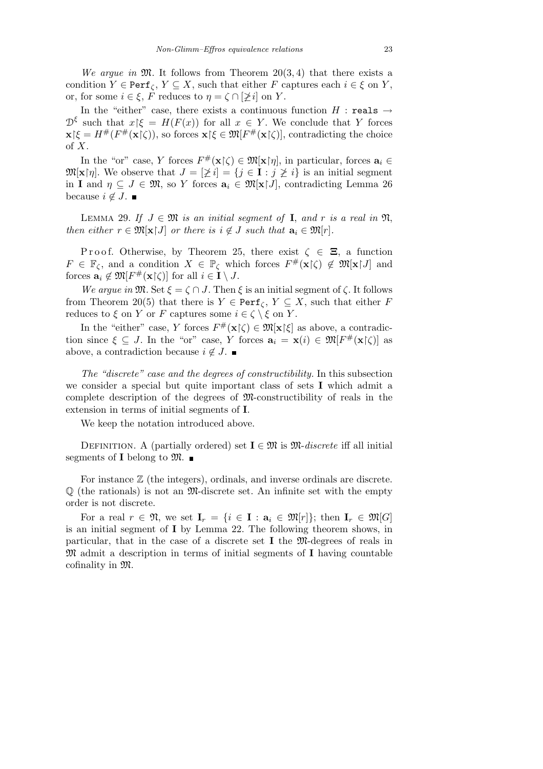*We argue in*  $\mathfrak{M}$ . It follows from Theorem 20(3,4) that there exists a condition  $Y \in \text{Perf}_{\zeta}, Y \subseteq X$ , such that either *F* captures each  $i \in \xi$  on *Y*, or, for some  $i \in \xi$ , F reduces to  $\eta = \zeta \cap [\n\geq i]$  on Y.

In the "either" case, there exists a continuous function  $H$  : reals  $\rightarrow$  $\mathcal{D}^{\xi}$  such that  $x \xi = H(F(x))$  for all  $x \in Y$ . We conclude that *Y* forces  $\mathbf{x}[\xi] = H^{\#}(F^{\#}(\mathbf{x}|\zeta))$ , so forces  $\mathbf{x}[\xi] \in \mathfrak{M}(F^{\#}(\mathbf{x}|\zeta))$ , contradicting the choice of *X*.

In the "or" case, *Y* forces  $F^{\#}(\mathbf{x}|\zeta) \in \mathfrak{M}[\mathbf{x}|\eta]$ , in particular, forces  $\mathbf{a}_i \in$  $\mathfrak{M}[\mathbf{x}|\eta]$ . We observe that  $J = [\n\geq i] = \{j \in \mathbf{I} : j \geq i\}$  is an initial segment in **I** and  $\eta \subseteq J \in \mathfrak{M}$ , so *Y* forces  $\mathbf{a}_i \in \mathfrak{M}[\mathbf{x} | J]$ , contradicting Lemma 26 because  $i \notin J$ . ■

LEMMA 29. If  $J \in \mathfrak{M}$  *is an initial seqment of* **I**, and *r is a real in*  $\mathfrak{N}$ , *then either*  $r \in \mathfrak{M}[\mathbf{x} \mid J]$  *or there is*  $i \notin J$  *such that*  $\mathbf{a}_i \in \mathfrak{M}[r]$ *.* 

Proof. Otherwise, by Theorem 25, there exist  $\zeta \in \Xi$ , a function  $F \in \mathbb{F}_{\zeta}$ , and a condition  $X \in \mathbb{P}_{\zeta}$  which forces  $F^{\#}(\mathbf{x}|\zeta) \notin \mathfrak{M}[\mathbf{x}|J]$  and forces  $\mathbf{a}_i \notin \mathfrak{M}[F^{\#}(\mathbf{x}|\zeta)]$  for all  $i \in \mathbf{I} \setminus J$ .

*We argue in*  $\mathfrak{M}$ *.* Set  $\xi = \zeta \cap J$ *.* Then  $\xi$  is an initial segment of  $\zeta$ *.* It follows from Theorem 20(5) that there is  $Y \in \text{Perf}_{\zeta}$ ,  $Y \subseteq X$ , such that either *F* reduces to  $\xi$  on  $Y$  or  $F$  captures some  $i \in \zeta \setminus \xi$  on  $Y$ .

In the "either" case, *Y* forces  $F^{\#}(\mathbf{x}|\zeta) \in \mathfrak{M}[\mathbf{x}|\xi]$  as above, a contradiction since  $\xi \subseteq J$ . In the "or" case, *Y* forces  $\mathbf{a}_i = \mathbf{x}(i) \in \mathfrak{M}[F^{\#}(\mathbf{x}|\zeta)]$  as above, a contradiction because  $i \notin J$ .

*The "discrete" case and the degrees of constructibility.* In this subsection we consider a special but quite important class of sets **I** which admit a complete description of the degrees of  $\mathfrak{M}$ -constructibility of reals in the extension in terms of initial segments of **I**.

We keep the notation introduced above.

DEFINITION. A (partially ordered) set  $I \in \mathfrak{M}$  is  $\mathfrak{M}\text{-}discrete$  iff all initial segments of **I** belong to  $\mathfrak{M}$ .

For instance  $\mathbb Z$  (the integers), ordinals, and inverse ordinals are discrete.  $\mathbb Q$  (the rationals) is not an M-discrete set. An infinite set with the empty order is not discrete.

For a real  $r \in \mathfrak{N}$ , we set  $\mathbf{I}_r = \{i \in \mathbf{I} : \mathbf{a}_i \in \mathfrak{M}[r]\}$ ; then  $\mathbf{I}_r \in \mathfrak{M}[G]$ is an initial segment of **I** by Lemma 22. The following theorem shows, in particular, that in the case of a discrete set **I** the M-degrees of reals in M admit a description in terms of initial segments of **I** having countable cofinality in M.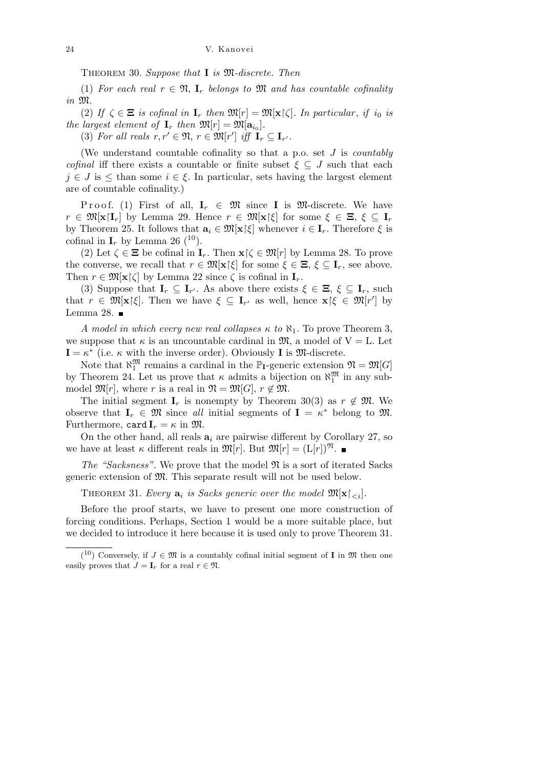Theorem 30. *Suppose that* **I** *is* M*-discrete. Then*

(1) For each real  $r \in \mathfrak{N}$ ,  $\mathbf{I}_r$  belongs to  $\mathfrak{M}$  and has countable cofinality *in* M*.*

(2) If  $\zeta \in \Xi$  *is cofinal in*  $\mathbf{I}_r$  *then*  $\mathfrak{M}[r] = \mathfrak{M}[\mathbf{x}]\zeta$ . In particular, if i<sub>0</sub> *is the largest element of*  $\mathbf{I}_r$  *then*  $\mathfrak{M}[r] = \mathfrak{M}[\mathbf{a}_{i_0}].$ 

(3) For all reals  $r, r' \in \mathfrak{N}, r \in \mathfrak{M}[r']$  iff  $\mathbf{I}_r \subseteq \mathbf{I}_{r'}$ .

(We understand countable cofinality so that a p.o. set *J* is *countably cofinal* iff there exists a countable or finite subset  $\xi \subseteq J$  such that each  $j \in J$  is  $\leq$  than some  $i \in \xi$ . In particular, sets having the largest element are of countable cofinality.)

Proof. (1) First of all,  $I_r \in \mathfrak{M}$  since **I** is M-discrete. We have  $r \in \mathfrak{M}[\mathbf{x}|\mathbf{I}_r]$  by Lemma 29. Hence  $r \in \mathfrak{M}[\mathbf{x}|\xi]$  for some  $\xi \in \Xi$ ,  $\xi \subset \mathbf{I}_r$ by Theorem 25. It follows that  $\mathbf{a}_i \in \mathfrak{M}[\mathbf{x}]\xi$  whenever  $i \in \mathbf{I}_r$ . Therefore  $\xi$  is cofinal in  $\mathbf{I}_r$  by Lemma 26 (<sup>10</sup>).

(2) Let  $\zeta \in \Xi$  be cofinal in  $\mathbf{I}_r$ . Then  $\mathbf{x} \upharpoonright \zeta \in \mathfrak{M}[r]$  by Lemma 28. To prove the converse, we recall that  $r \in \mathfrak{M}[\mathbf{x}]\xi$  for some  $\xi \in \Xi$ ,  $\xi \subset \mathbf{I}_r$ , see above. Then  $r \in \mathfrak{M}[\mathbf{x}]\zeta$  by Lemma 22 since  $\zeta$  is cofinal in  $\mathbf{I}_r$ .

(3) Suppose that  $\mathbf{I}_r \subseteq \mathbf{I}_{r'}$ . As above there exists  $\xi \in \Xi$ ,  $\xi \subseteq \mathbf{I}_r$ , such that  $r \in \mathfrak{M}[\mathbf{x}|\xi]$ . Then we have  $\xi \subseteq \mathbf{I}_{r'}$  as well, hence  $\mathbf{x}|\xi \in \mathfrak{M}[r']$  by Lemma 28.  $\blacksquare$ 

*A model in which every new real collapses*  $\kappa$  *to*  $\aleph_1$ . To prove Theorem 3, we suppose that  $\kappa$  is an uncountable cardinal in  $\mathfrak{M}$ , a model of  $V = L$ . Let  $\mathbf{I} = \kappa^*$  (i.e.  $\kappa$  with the inverse order). Obviously **I** is  $\mathfrak{M}$ -discrete.

Note that  $\aleph_1^{\mathfrak{M}}$  remains a cardinal in the  $\mathbb{P}_I$ -generic extension  $\mathfrak{N} = \mathfrak{M}[G]$ by Theorem 24. Let us prove that  $\kappa$  admits a bijection on  $\aleph_1^{\mathfrak{M}}$  in any submodel  $\mathfrak{M}[r]$ , where *r* is a real in  $\mathfrak{N} = \mathfrak{M}[G]$ ,  $r \notin \mathfrak{M}$ .

The initial segment  $\mathbf{I}_r$  is nonempty by Theorem 30(3) as  $r \notin \mathfrak{M}$ . We observe that  $\mathbf{I}_r \in \mathfrak{M}$  since *all* initial segments of  $\mathbf{I} = \kappa^*$  belong to  $\mathfrak{M}$ . Furthermore, card  $I_r = \kappa$  in  $\mathfrak{M}$ .

On the other hand, all reals  $a_i$  are pairwise different by Corollary 27, so we have at least *κ* different reals in  $\mathfrak{M}[r]$ . But  $\mathfrak{M}[r] = (L[r])^{\mathfrak{N}}$ .

*The "Sacksness".* We prove that the model  $\mathfrak{N}$  is a sort of iterated Sacks generic extension of M. This separate result will not be used below.

THEOREM 31. *Every*  $\mathbf{a}_i$  is Sacks generic over the model  $\mathfrak{M}[\mathbf{x} \restriction_{\leq i}]$ .

Before the proof starts, we have to present one more construction of forcing conditions. Perhaps, Section 1 would be a more suitable place, but we decided to introduce it here because it is used only to prove Theorem 31.

 $(10)$  Conversely, if  $J \in \mathfrak{M}$  is a countably cofinal initial segment of **I** in  $\mathfrak{M}$  then one easily proves that  $J = I_r$  for a real  $r \in \mathfrak{N}$ .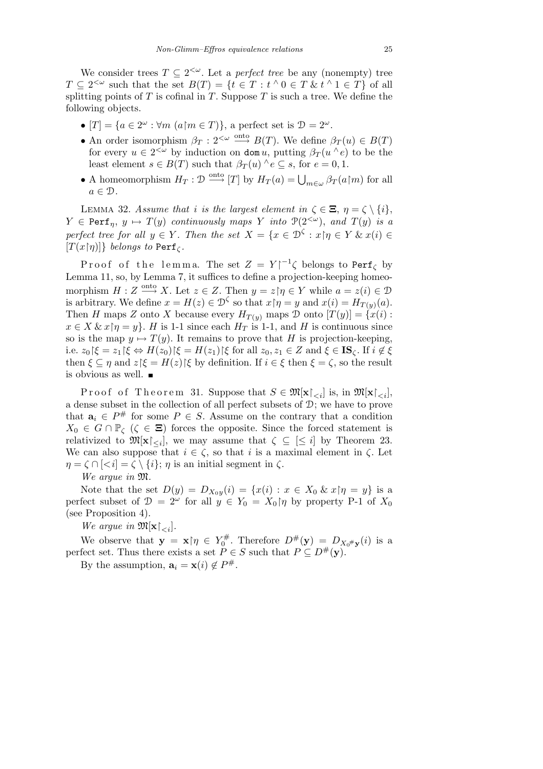We consider trees  $T \subseteq 2^{<\omega}$ . Let a *perfect tree* be any (nonempty) tree  $T \subseteq 2^{<\omega}$  such that the set  $B(T) = \{t \in T : t \wedge 0 \in T \& t \wedge 1 \in T\}$  of all splitting points of  $T$  is cofinal in  $T$ . Suppose  $T$  is such a tree. We define the following objects.

- $\bullet$   $[T] = \{a \in 2^{\omega} : \forall m \ (a \in T)\},\$ a perfect set is  $\mathcal{D} = 2^{\omega}$ .
- An order isomorphism  $\beta_T : 2^{< \omega} \stackrel{\text{onto}}{\longrightarrow} B(T)$ . We define  $\beta_T(u) \in B(T)$ for every  $u \in 2^{\langle \omega \rangle}$  by induction on dom *u*, putting  $\beta_T(u \wedge e)$  to be the least element  $s \in B(T)$  such that  $\beta_T(u) \land e \subseteq s$ , for  $e = 0, 1$ .
- A homeomorphism  $H_T: \mathcal{D} \xrightarrow{\text{onto }} [T]$  by  $H_T(a) = \bigcup_{m \in \omega} \beta_T(a|m)$  for all  $a \in \mathcal{D}$ .

LEMMA 32. *Assume that i is the largest element in*  $\zeta \in \Xi$ ,  $\eta = \zeta \setminus \{i\}$ ,  $Y \in \text{Perf}_n$ ,  $y \mapsto T(y)$  *continuously maps Y into*  $\mathcal{P}(2^{<\omega})$ , *and*  $T(y)$  *is a perfect tree for all*  $y \in Y$ . Then the set  $X = \{x \in \mathcal{D}^{\zeta} : x | \eta \in Y \& x(i) \in Y\}$  $[T(x|\eta)]\}$  *belongs to* Perf<sub>*ζ*</sub>.

Proof of the lemma. The set  $Z = Y|^{-1} \zeta$  belongs to Perf<sub> $\zeta$ </sub> by Lemma 11, so, by Lemma 7, it suffices to define a projection-keeping homeomorphism  $H: Z \overset{\text{onto}}{\longrightarrow} X$ . Let  $z \in Z$ . Then  $y = z \mid \eta \in Y$  while  $a = z(i) \in \mathcal{D}$ is arbitrary. We define  $x = H(z) \in \mathcal{D}^{\zeta}$  so that  $x \upharpoonright \eta = y$  and  $x(i) = H_{T(y)}(a)$ . Then *H* maps *Z* onto *X* because every  $H_{T(y)}$  maps  $\mathcal D$  onto  $[T(y)] = \{x(i) :$  $x \in X \& x \nvert \eta = y$ . *H* is 1-1 since each  $H_T$  is 1-1, and *H* is continuous since so is the map  $y \mapsto T(y)$ . It remains to prove that *H* is projection-keeping, i.e.  $z_0 \upharpoonright \xi = z_1 \upharpoonright \xi \Leftrightarrow H(z_0) \upharpoonright \xi = H(z_1) \upharpoonright \xi$  for all  $z_0, z_1 \in Z$  and  $\xi \in \mathbf{IS}_{\zeta}$ . If  $i \notin \xi$ then  $\xi \subseteq \eta$  and  $z \mid \xi = H(z) \mid \xi$  by definition. If  $i \in \xi$  then  $\xi = \zeta$ , so the result is obvious as well.  $\blacksquare$ 

Proof of Theorem 31. Suppose that  $S \in \mathfrak{M}[\mathbf{x} \restriction_{\leq i}]$  is, in  $\mathfrak{M}[\mathbf{x} \restriction_{\leq i}]$ , a dense subset in the collection of all perfect subsets of D; we have to prove that  $a_i \in P^{\#}$  for some  $P \in S$ . Assume on the contrary that a condition  $X_0 \in G \cap \mathbb{P}_{\zeta}$  ( $\zeta \in \Xi$ ) forces the opposite. Since the forced statement is relativized to  $\mathfrak{M}[\mathbf{x} \restriction_{\leq i}]$ , we may assume that  $\zeta \subseteq [\leq i]$  by Theorem 23. We can also suppose that  $i \in \zeta$ , so that *i* is a maximal element in  $\zeta$ . Let  $\eta = \zeta \cap [\langle i] = \zeta \setminus \{i\}; \eta \text{ is an initial segment in } \zeta.$ 

*We argue in* M*.*

Note that the set  $D(y) = D_{X_0y}(i) = \{x(i) : x \in X_0 \& x \mid \eta = y\}$  is a perfect subset of  $\mathcal{D} = 2^{\omega}$  for all  $y \in Y_0 = X_0 \upharpoonright \eta$  by property P-1 of  $X_0$ (see Proposition 4).

*We argue in*  $\mathfrak{M}[\mathbf{x}|_{< i}].$ 

We observe that  $y = x \gamma \in Y_0^{\#}$  $\mathcal{D}^{\#}$ . Therefore  $D^{\#}(\mathbf{y}) = D_{X_0^{\#} \mathbf{y}}(i)$  is a perfect set. Thus there exists a set  $\tilde{P} \in S$  such that  $P \subseteq D^{\#}(\mathbf{y})$ .

By the assumption,  $\mathbf{a}_i = \mathbf{x}(i) \notin P^{\#}$ .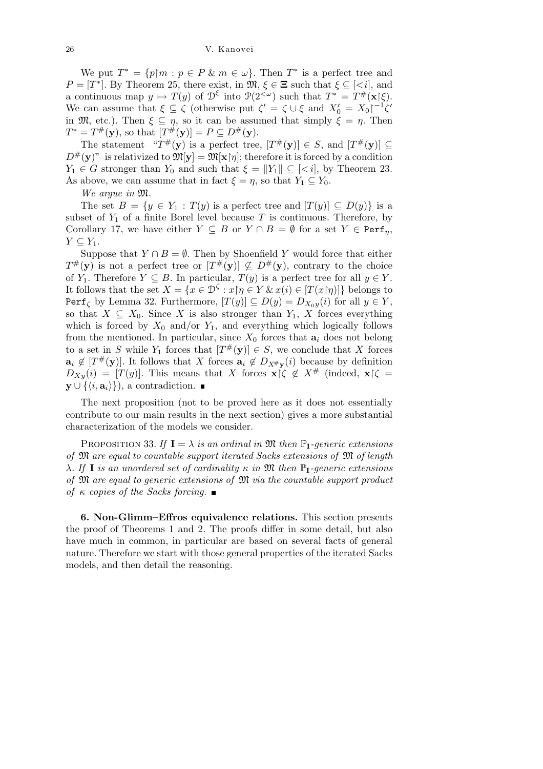We put  $T^* = \{p \mid m : p \in P \& m \in \omega\}$ . Then  $T^*$  is a perfect tree and  $P = [T^*]$ . By Theorem 25, there exist, in  $\mathfrak{M}, \xi \in \Xi$  such that  $\xi \subseteq \xi$ , and a continuous map  $y \mapsto T(y)$  of  $\mathcal{D}^{\xi}$  into  $\mathcal{P}(2^{<\omega})$  such that  $T^* = T^{\#}(\mathbf{x}|\xi)$ . We can assume that  $\xi \subseteq \zeta$  (otherwise put  $\zeta' = \zeta \cup \xi$  and  $X'_0 = X_0 \zeta^{-1} \zeta'$ in  $\mathfrak{M}$ , etc.). Then  $\xi \subseteq \eta$ , so it can be assumed that simply  $\xi = \eta$ . Then  $T^* = T^{\#}(\mathbf{y})$ , so that  $[T^{\#}(\mathbf{y})] = P \subseteq D^{\#}(\mathbf{y})$ .

The statement " $T^{\#}(\mathbf{y})$  is a perfect tree,  $[T^{\#}(\mathbf{y})] \in S$ , and  $[T^{\#}(\mathbf{y})] \subseteq$  $D^{\#}(\mathbf{y})$ " is relativized to  $\mathfrak{M}[\mathbf{y}] = \mathfrak{M}[\mathbf{x}|\eta]$ ; therefore it is forced by a condition *Y*<sub>1</sub>  $\in$  *G* stronger than *Y*<sub>0</sub> and such that  $\xi = ||Y_1|| \subseteq \{ \leq i \}$ , by Theorem 23. As above, we can assume that in fact  $\xi = \eta$ , so that  $Y_1 \subseteq Y_0$ .

*We argue in* M*.*

The set  $B = \{y \in Y_1 : T(y)$  is a perfect tree and  $[T(y)] \subseteq D(y)\}$  is a subset of  $Y_1$  of a finite Borel level because  $T$  is continuous. Therefore, by Corollary 17, we have either  $Y \subseteq B$  or  $Y \cap B = \emptyset$  for a set  $Y \in \text{Perf}_{\eta}$ ,  $Y \subseteq Y_1$ .

Suppose that  $Y \cap B = \emptyset$ . Then by Shoenfield *Y* would force that either  $T^{\#}(\mathbf{y})$  is not a perfect tree or  $[T^{\#}(\mathbf{y})] \nsubseteq D^{\#}(\mathbf{y})$ , contrary to the choice of *Y*<sub>1</sub>. Therefore *Y*  $\subseteq$  *B*. In particular, *T*(*y*) is a perfect tree for all  $y \in Y$ . It follows that the set  $X = \{x \in \mathcal{D}^{\zeta} : x \mid \eta \in Y \& x(i) \in [T(x \mid \eta)]\}$  belongs to Perf<sub>*C*</sub> by Lemma 32. Furthermore,  $[T(y)] \subseteq D(y) = D_{X_0y}(i)$  for all  $y \in Y$ , so that  $X \subseteq X_0$ . Since *X* is also stronger than  $Y_1$ , *X* forces everything which is forced by  $X_0$  and/or  $Y_1$ , and everything which logically follows from the mentioned. In particular, since  $X_0$  forces that  $\mathbf{a}_i$  does not belong to a set in *S* while  $Y_1$  forces that  $[T^{\#}(\mathbf{y})] \in S$ , we conclude that *X* forces  $a_i \notin [T^{\#}(\mathbf{y})]$ . It follows that *X* forces  $a_i \notin D_{X^{\#}(\mathbf{y})}$  because by definition  $D_{Xy}(i) = [T(y)]$ . This means that *X* forces  $\mathbf{x} \upharpoonright \zeta \notin X^{\#}$  (indeed,  $\mathbf{x} \upharpoonright \zeta =$ **y** ∪ { $\langle i, \mathbf{a}_i \rangle$ }), a contradiction.  $\blacksquare$ 

The next proposition (not to be proved here as it does not essentially contribute to our main results in the next section) gives a more substantial characterization of the models we consider.

PROPOSITION 33. If  $I = \lambda$  *is an ordinal in*  $\mathfrak{M}$  *then*  $\mathbb{P}_{I}$ *-generic extensions of* M *are equal to countable support iterated Sacks extensions of* M *of length λ. If* **I** *is an unordered set of cardinality κ in* M *then* P**I***-generic extensions of* M *are equal to generic extensions of* M *via the countable support product of κ copies of the Sacks forcing.*

**6. Non-Glimm–Effros equivalence relations.** This section presents the proof of Theorems 1 and 2. The proofs differ in some detail, but also have much in common, in particular are based on several facts of general nature. Therefore we start with those general properties of the iterated Sacks models, and then detail the reasoning.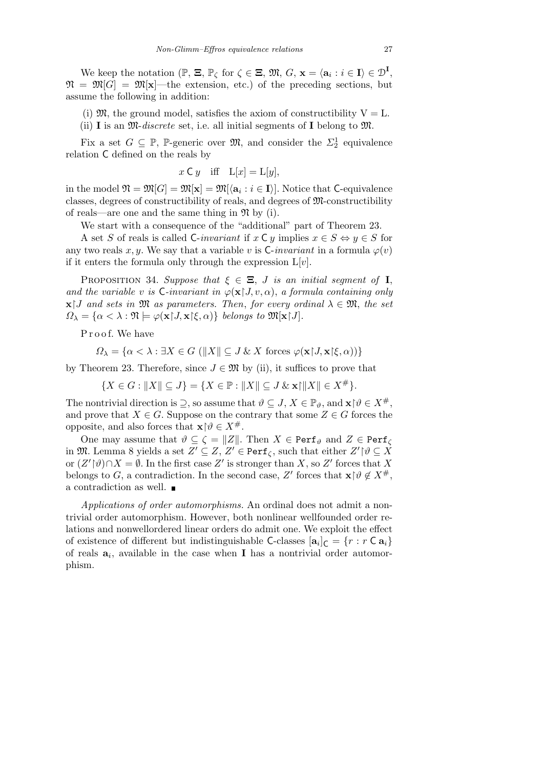We keep the notation  $(\mathbb{P}, \Xi, \mathbb{P}_{\zeta} \text{ for } \zeta \in \Xi, \mathfrak{M}, G, \mathbf{x} = \langle \mathbf{a}_i : i \in \mathbf{I} \rangle \in \mathcal{D}^{\mathbf{I}},$  $\mathfrak{N} = \mathfrak{M}[G] = \mathfrak{M}[\mathbf{x}]$ —the extension, etc.) of the preceding sections, but assume the following in addition:

- (i)  $\mathfrak{M}$ , the ground model, satisfies the axiom of constructibility  $V = L$ .
- (ii) **I** is an M-*discrete* set, i.e. all initial segments of **I** belong to M.

Fix a set  $G \subseteq \mathbb{P}$ , P-generic over  $\mathfrak{M}$ , and consider the  $\Sigma_2^1$  equivalence relation C defined on the reals by

$$
x \in y
$$
 iff  $L[x] = L[y]$ ,

 $\text{in the model } \mathfrak{N} = \mathfrak{M}[G] = \mathfrak{M}[\mathbf{x}] = \mathfrak{M}[\langle \mathbf{a}_i : i \in \mathbf{I} \rangle].$  Notice that C-equivalence classes, degrees of constructibility of reals, and degrees of M-constructibility of reals—are one and the same thing in  $\mathfrak{N}$  by (i).

We start with a consequence of the "additional" part of Theorem 23.

A set *S* of reals is called C-*invariant* if  $x \in Y$  implies  $x \in S \Leftrightarrow y \in S$  for any two reals *x*, *y*. We say that a variable *v* is C-*invariant* in a formula  $\varphi(v)$ if it enters the formula only through the expression  $L[v]$ .

PROPOSITION 34. *Suppose that*  $\xi \in \Xi$ , *J is an initial segment of* **I**, *and the variable v is*  $\mathsf{C}\text{-}invariant$  *in*  $\varphi(\mathbf{x} | J, v, \alpha)$ , *a formula containing only*  $\mathbf{x}$ <sup>*J*</sup> and sets in M as parameters. Then, for every ordinal  $\lambda \in \mathfrak{M}$ , the set  $\Omega_{\lambda} = {\alpha < \lambda : \mathfrak{N} \models \varphi(\mathbf{x} | J, \mathbf{x} | \xi, \alpha)}$  *belongs to*  $\mathfrak{M}[\mathbf{x} | J]$ *.* 

Proof. We have

$$
\Omega_{\lambda} = \{ \alpha < \lambda : \exists X \in G \ (\|X\| \subseteq J \ \& \ X \ \text{forces} \ \varphi(\mathbf{x} \restriction J, \mathbf{x} \restriction \xi, \alpha)) \}
$$

by Theorem 23. Therefore, since  $J \in \mathfrak{M}$  by (ii), it suffices to prove that

 ${X \in G : \|X\| \subseteq J} = {X \in \mathbb{P} : \|X\| \subseteq J \& \mathbf{x} \cap \|X\| \in X^{\#}}.$ 

The nontrivial direction is  $\supseteq$ , so assume that  $\vartheta \subseteq J$ ,  $X \in \mathbb{P}_{\vartheta}$ , and  $\mathbf{x} | \vartheta \in X^{\#}$ , and prove that  $X \in G$ . Suppose on the contrary that some  $Z \in G$  forces the opposite, and also forces that  $\mathbf{x} \upharpoonright \vartheta \in X^{\#}$ .

One may assume that  $\vartheta \subseteq \zeta = ||Z||$ . Then  $X \in \text{Perf}_{\vartheta}$  and  $Z \in \text{Perf}_{\zeta}$ in  $\mathfrak{M}$ . Lemma 8 yields a set  $Z' \subseteq Z$ ,  $Z' \in \text{Perf}_{\zeta}$ , such that either  $Z' \upharpoonright \vartheta \subseteq X$ or  $(Z' | \vartheta) \cap X = \emptyset$ . In the first case  $Z'$  is stronger than *X*, so *Z'* forces that *X* belongs to *G*, a contradiction. In the second case, *Z'* forces that  $\mathbf{x} \upharpoonright \theta \notin X^{\#}$ , a contradiction as well.

*Applications of order automorphisms.* An ordinal does not admit a nontrivial order automorphism. However, both nonlinear wellfounded order relations and nonwellordered linear orders do admit one. We exploit the effect of existence of different but indistinguishable C-classes  $[\mathbf{a}_i]_C = \{r : r \in \mathbf{a}_i\}$ of reals **a***<sup>i</sup>* , available in the case when **I** has a nontrivial order automorphism.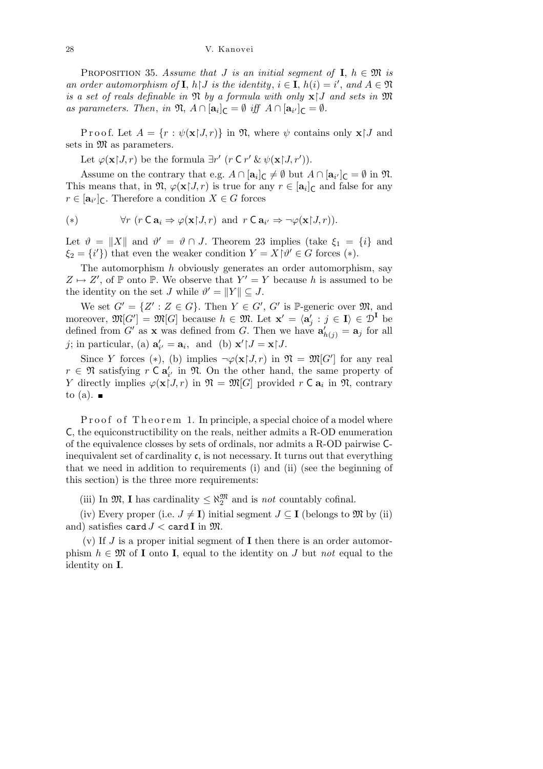PROPOSITION 35. Assume that *J* is an initial segment of **I**,  $h \in \mathfrak{M}$  is *an order automorphism of* **I**,  $h \upharpoonright J$  *is the identity*,  $i \in$  **I**,  $h(i) = i'$ , and  $A \in \mathfrak{N}$ *is a set of reals definable in*  $\mathfrak{N}$  *by a formula with only*  $\mathbf{x}$  *J and sets in*  $\mathfrak{M}$ *as parameters. Then, in*  $\mathfrak{N}, A \cap [\mathbf{a}_i]_{\mathsf{C}} = \emptyset$  *iff*  $A \cap [\mathbf{a}_{i'}]_{\mathsf{C}} = \emptyset$ .

Proof. Let  $A = \{r : \psi(\mathbf{x} | J, r)\}\$ in  $\mathfrak{N}$ , where  $\psi$  contains only  $\mathbf{x} | J$  and sets in  $\mathfrak{M}$  as parameters.

Let  $\varphi(\mathbf{x} | J, r)$  be the formula  $\exists r'$  ( $r \in r' \& \psi(\mathbf{x} | J, r')$ ).

Assume on the contrary that e.g.  $A \cap [\mathbf{a}_i]_{\mathsf{C}} \neq \emptyset$  but  $A \cap [\mathbf{a}_{i'}]_{\mathsf{C}} = \emptyset$  in  $\mathfrak{N}$ . This means that, in  $\mathfrak{N}, \varphi(\mathbf{x} | J, r)$  is true for any  $r \in [\mathbf{a}_i]_C$  and false for any  $r \in [\mathbf{a}_{i'}]_C$ . Therefore a condition  $X \in G$  forces

(\*) 
$$
\forall r \ (r \in \mathbf{a}_i \Rightarrow \varphi(\mathbf{x} \restriction J, r) \text{ and } r \in \mathbf{a}_{i'} \Rightarrow \neg \varphi(\mathbf{x} \restriction J, r)).
$$

Let  $\vartheta = ||X||$  and  $\vartheta' = \vartheta \cap J$ . Theorem 23 implies (take  $\xi_1 = \{i\}$  and  $\xi_2 = \{i'\}$ ) that even the weaker condition  $Y = X {\upharpoonright} \vartheta' \in G$  forces (\*).

The automorphism *h* obviously generates an order automorphism, say  $Z \mapsto Z'$ , of P onto P. We observe that  $Y' = Y$  because *h* is assumed to be the identity on the set *J* while  $\vartheta' = ||Y|| \subseteq J$ .

We set  $G' = \{Z' : Z \in G\}$ . Then  $Y \in G'$ ,  $G'$  is P-generic over  $\mathfrak{M}$ , and moreover,  $\mathfrak{M}[G'] = \mathfrak{M}[G]$  because  $h \in \mathfrak{M}$ . Let  $\mathbf{x}' = \langle \mathbf{a}'_j : j \in I \rangle \in \mathcal{D}^I$  be defined from *G'* as **x** was defined from *G*. Then we have  $\mathbf{a}'_{h(j)} = \mathbf{a}_j$  for all *j*; in particular, (a)  $\mathbf{a}'_{i'} = \mathbf{a}_i$ , and (b)  $\mathbf{x}' \upharpoonright J = \mathbf{x} \upharpoonright J$ .

Since *Y* forces (\*), (b) implies  $\neg \varphi(\mathbf{x} | J, r)$  in  $\mathfrak{N} = \mathfrak{M}[G']$  for any real  $r \in \mathfrak{N}$  satisfying  $r \in \mathbf{a}'_{i'}$  in  $\mathfrak{N}$ . On the other hand, the same property of *Y* directly implies  $\varphi(\mathbf{x}|J,r)$  in  $\mathfrak{N} = \mathfrak{M}[G]$  provided *r* **C**  $\mathbf{a}_i$  in  $\mathfrak{N}$ , contrary to (a).  $\blacksquare$ 

Proof of Theorem 1. In principle, a special choice of a model where C, the equiconstructibility on the reals, neither admits a R-OD enumeration of the equivalence closses by sets of ordinals, nor admits a R-OD pairwise Cinequivalent set of cardinality  $\mathfrak{c}$ , is not necessary. It turns out that everything that we need in addition to requirements (i) and (ii) (see the beginning of this section) is the three more requirements:

(iii) In  $\mathfrak{M}, \mathbf{I}$  has cardinality  $\leq \aleph_2^{\mathfrak{M}}$  and is *not* countably cofinal.

(iv) Every proper (i.e.  $J \neq I$ ) initial segment  $J \subseteq I$  (belongs to  $\mathfrak{M}$  by (ii) and) satisfies card  $J <$  card **I** in  $\mathfrak{M}$ .

(v) If *J* is a proper initial segment of **I** then there is an order automorphism  $h \in \mathfrak{M}$  of **I** onto **I**, equal to the identity on *J* but *not* equal to the identity on **I**.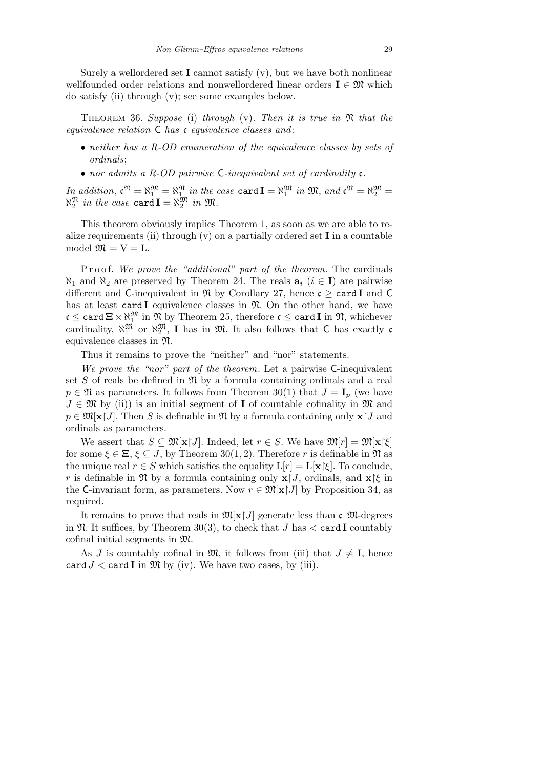Surely a wellordered set **I** cannot satisfy (v), but we have both nonlinear wellfounded order relations and nonwellordered linear orders  $I \in \mathfrak{M}$  which do satisfy (ii) through (v); see some examples below.

Theorem 36. *Suppose* (i) *through* (v)*. Then it is true in* N *that the equivalence relation* C *has* c *equivalence classes and*:

- *• neither has a R-OD enumeration of the equivalence classes by sets of ordinals*;
- *• nor admits a R-OD pairwise* C*-inequivalent set of cardinality* c*.*

 $In \ addition, \ \mathfrak{c}^{\mathfrak{N}} = \aleph_1^{\mathfrak{M}} = \aleph_1^{\mathfrak{N}} \ in \ the \ case \ \texttt{card\ I} = \aleph_1^{\mathfrak{M}} \ in \ \mathfrak{M}, \ and \ \mathfrak{c}^{\mathfrak{N}} = \aleph_2^{\mathfrak{M}} = \mathfrak{c}^{\mathfrak{M}}$  $\aleph_2^{\mathfrak{M}}$  in the case card  $\mathbf{I} = \aleph_2^{\mathfrak{M}}$  in  $\mathfrak{M}$ .

This theorem obviously implies Theorem 1, as soon as we are able to realize requirements (ii) through  $(v)$  on a partially ordered set **I** in a countable model  $\mathfrak{M} \models V = L$ .

P roof. We prove the "additional" part of the theorem. The cardinals  $\aleph_1$  and  $\aleph_2$  are preserved by Theorem 24. The reals  $a_i$  ( $i \in I$ ) are pairwise different and C-inequivalent in  $\mathfrak{N}$  by Corollary 27, hence  $\mathfrak{c} \geq \texttt{card } I$  and C has at least card **I** equivalence classes in  $\mathfrak{N}$ . On the other hand, we have  $\mathfrak{c} \leq$  card  $\Xi \times \aleph_1^\mathfrak{M}$  in  $\mathfrak{N}$  by Theorem 25, therefore  $\mathfrak{c} \leq$  card  $\mathrm I$  in  $\mathfrak{N},$  whichever cardinality,  $\aleph_1^{\mathfrak{M}}$  or  $\aleph_2^{\mathfrak{M}}$ , **I** has in  $\mathfrak{M}$ . It also follows that **C** has exactly **c** equivalence classes in N.

Thus it remains to prove the "neither" and "nor" statements.

*We prove the "nor" part of the theorem*. Let a pairwise C-inequivalent set  $S$  of reals be defined in  $\mathfrak N$  by a formula containing ordinals and a real  $p \in \mathfrak{N}$  as parameters. It follows from Theorem 30(1) that  $J = I_p$  (we have  $J \in \mathfrak{M}$  by (ii)) is an initial segment of **I** of countable cofinality in  $\mathfrak{M}$  and  $p \in \mathfrak{M}[\mathbf{x} \mid J]$ . Then *S* is definable in  $\mathfrak{N}$  by a formula containing only  $\mathbf{x} \mid J$  and ordinals as parameters.

We assert that  $S \subseteq \mathfrak{M}[\mathbf{x} | J]$ . Indeed, let  $r \in S$ . We have  $\mathfrak{M}[r] = \mathfrak{M}[\mathbf{x} | \xi]$ for some  $\xi \in \Xi$ ,  $\xi \subseteq J$ , by Theorem 30(1, 2). Therefore *r* is definable in  $\mathfrak{N}$  as the unique real  $r \in S$  which satisfies the equality  $L[r] = L[x \xi]$ . To conclude, *r* is definable in  $\mathfrak{N}$  by a formula containing only  $\mathbf{x}$ [*J*, ordinals, and  $\mathbf{x}$ [*ξ* in the C-invariant form, as parameters. Now  $r \in \mathfrak{M}[\mathbf{x} \mid J]$  by Proposition 34, as required.

It remains to prove that reals in  $\mathfrak{M}[\mathbf{x} \mid J]$  generate less than c  $\mathfrak{M}$ -degrees in  $\mathfrak{N}$ . It suffices, by Theorem 30(3), to check that *J* has  $\lt$  card **I** countably cofinal initial segments in M.

As *J* is countably cofinal in  $\mathfrak{M}$ , it follows from (iii) that  $J \neq I$ , hence card  $J <$  card **I** in  $\mathfrak{M}$  by (iv). We have two cases, by (iii).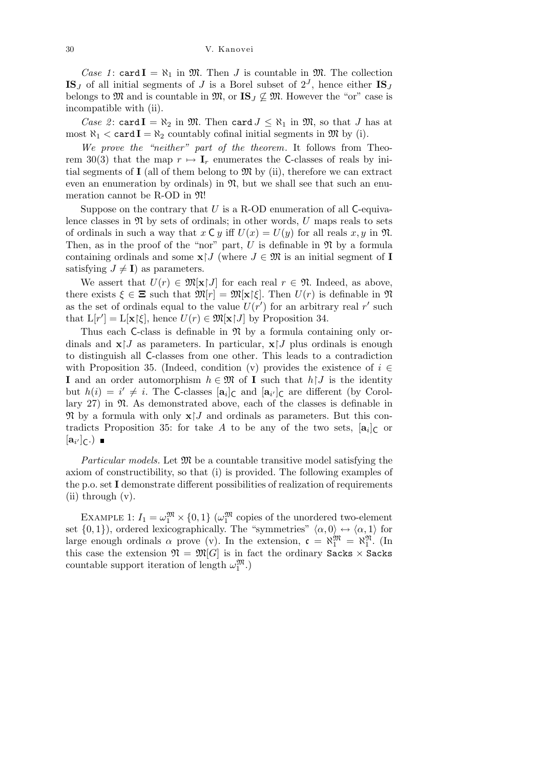*Case 1*: card  $I = \aleph_1$  in  $\mathfrak{M}$ . Then *J* is countable in  $\mathfrak{M}$ . The collection **IS**<sub>*J*</sub> of all initial segments of *J* is a Borel subset of  $2<sup>J</sup>$ , hence either **IS**<sub>*J*</sub> belongs to M and is countable in M, or  $\mathbf{IS}_J \not\subseteq \mathfrak{M}$ . However the "or" case is incompatible with (ii).

*Case 2*: card  $I = \aleph_2$  in  $\mathfrak{M}$ . Then card  $J \leq \aleph_1$  in  $\mathfrak{M}$ , so that *J* has at most  $\aleph_1 < \text{card } I = \aleph_2$  countably cofinal initial segments in  $\mathfrak{M}$  by (i).

*We prove the "neither" part of the theorem*. It follows from Theorem 30(3) that the map  $r \mapsto I_r$  enumerates the C-classes of reals by initial segments of  $I$  (all of them belong to  $\mathfrak{M}$  by (ii), therefore we can extract even an enumeration by ordinals) in  $\mathfrak{N}$ , but we shall see that such an enumeration cannot be R-OD in N!

Suppose on the contrary that *U* is a R-OD enumeration of all C-equivalence classes in  $\mathfrak N$  by sets of ordinals; in other words,  $U$  maps reals to sets of ordinals in such a way that  $x \in y$  iff  $U(x) = U(y)$  for all reals  $x, y$  in  $\mathfrak{N}$ . Then, as in the proof of the "nor" part,  $\overline{U}$  is definable in  $\Re$  by a formula containing ordinals and some  $\mathbf{x}$ <sup> $\mathbf{I}$ </sup> (where  $J \in \mathfrak{M}$  is an initial segment of **I** satisfying  $J \neq I$ ) as parameters.

We assert that  $U(r) \in \mathfrak{M}[\mathbf{x} \mid J]$  for each real  $r \in \mathfrak{N}$ . Indeed, as above, there exists  $\xi \in \Xi$  such that  $\mathfrak{M}[r] = \mathfrak{M}[\mathbf{x}]\xi$ . Then  $U(r)$  is definable in  $\mathfrak{N}$ as the set of ordinals equal to the value  $U(r')$  for an arbitrary real  $r'$  such that  $L[r'] = L[x \mid \xi]$ , hence  $U(r) \in \mathfrak{M}[x \mid J]$  by Proposition 34.

Thus each C-class is definable in  $\mathfrak N$  by a formula containing only ordinals and  $\mathbf{x}$  *J* as parameters. In particular,  $\mathbf{x}$  *J* plus ordinals is enough to distinguish all C-classes from one other. This leads to a contradiction with Proposition 35. (Indeed, condition  $(v)$  provides the existence of  $i \in$ **I** and an order automorphism  $h \in \mathfrak{M}$  of **I** such that  $h \upharpoonright J$  is the identity but  $h(i) = i' \neq i$ . The C-classes  $[\mathbf{a}_i]_C$  and  $[\mathbf{a}_{i'}]_C$  are different (by Corollary  $27$ ) in  $\mathfrak{N}$ . As demonstrated above, each of the classes is definable in  $\mathfrak{N}$  by a formula with only  $\mathbf{x}$  *J* and ordinals as parameters. But this contradicts Proposition 35: for take  $A$  to be any of the two sets,  $[a_i]_C$  or  $[\mathbf{a}_{i'}]_{\mathsf{C}}$ .)

*Particular models.* Let  $\mathfrak{M}$  be a countable transitive model satisfying the axiom of constructibility, so that (i) is provided. The following examples of the p.o. set **I** demonstrate different possibilities of realization of requirements (ii) through (v).

EXAMPLE 1:  $I_1 = \omega_1^{\mathfrak{M}} \times \{0, 1\}$  ( $\omega_1^{\mathfrak{M}}$  copies of the unordered two-element set  $\{0,1\}$ ), ordered lexicographically. The "symmetries"  $\langle \alpha, 0 \rangle \leftrightarrow \langle \alpha, 1 \rangle$  for large enough ordinals  $\alpha$  prove (v). In the extension,  $\mathfrak{c} = \aleph_1^{\mathfrak{M}} = \aleph_1^{\mathfrak{N}}$ . (In this case the extension  $\mathfrak{N} = \mathfrak{M}[G]$  is in fact the ordinary Sacks  $\times$  Sacks countable support iteration of length  $\omega_1^{\mathfrak{M}}$ .)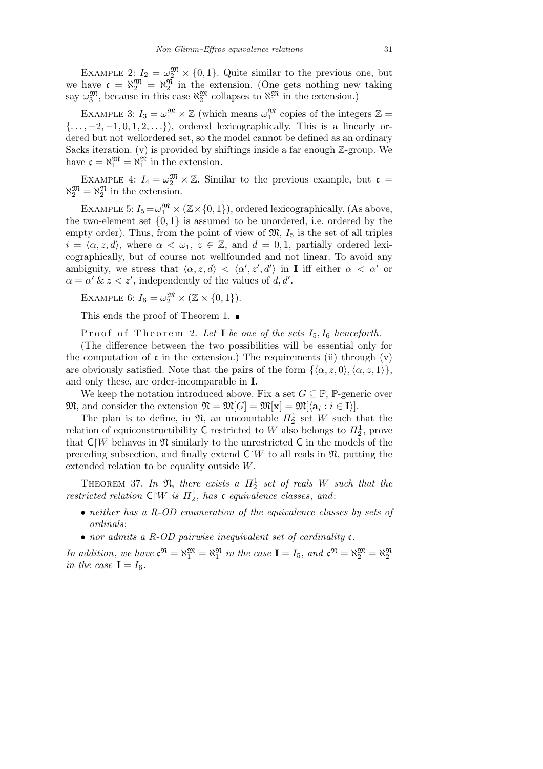EXAMPLE 2:  $I_2 = \omega_2^{\mathfrak{M}} \times \{0, 1\}$ . Quite similar to the previous one, but we have  $\mathfrak{c} = \aleph_2^{\mathfrak{M}} = \aleph_2^{\mathfrak{N}}$  in the extension. (One gets nothing new taking say  $\omega_3^{\mathfrak{M}}$ , because in this case  $\aleph_2^{\mathfrak{M}}$  collapses to  $\aleph_1^{\mathfrak{M}}$  in the extension.)

EXAMPLE 3:  $I_3 = \omega_1^{\mathfrak{M}} \times \mathbb{Z}$  (which means  $\omega_1^{\mathfrak{M}}$  copies of the integers  $\mathbb{Z} =$ *{...,* −2*,* −1*,* 0*,* 1*,* 2*, ...}*), ordered lexicographically. This is a linearly ordered but not wellordered set, so the model cannot be defined as an ordinary Sacks iteration. (v) is provided by shiftings inside a far enough  $\mathbb{Z}$ -group. We have  $\mathfrak{c} = \aleph_1^{\mathfrak{M}} = \aleph_1^{\mathfrak{N}}$  in the extension.

EXAMPLE 4:  $I_4 = \omega_2^{\mathfrak{M}} \times \mathbb{Z}$ . Similar to the previous example, but  $\mathfrak{c} =$  $\aleph_2^{\mathfrak{M}} = \aleph_2^{\mathfrak{N}}$  in the extension.

EXAMPLE 5:  $I_5 = \omega_1^{\mathfrak{M}} \times (\mathbb{Z} \times \{0, 1\})$ , ordered lexicographically. (As above, the two-element set  $\{0,1\}$  is assumed to be unordered, i.e. ordered by the empty order). Thus, from the point of view of  $\mathfrak{M}, I_5$  is the set of all triples  $i = \langle \alpha, z, d \rangle$ , where  $\alpha < \omega_1, z \in \mathbb{Z}$ , and  $d = 0, 1$ , partially ordered lexicographically, but of course not wellfounded and not linear. To avoid any ambiguity, we stress that  $\langle \alpha, z, d \rangle < \langle \alpha', z', d' \rangle$  in **I** iff either  $\alpha < \alpha'$  or  $\alpha = \alpha' \& z < z'$ , independently of the values of *d, d'*.

EXAMPLE 6:  $I_6 = \omega_2^{\mathfrak{M}} \times (\mathbb{Z} \times \{0, 1\}).$ 

This ends the proof of Theorem 1. ■

Proof of Theorem 2. Let **I** be one of the sets  $I_5$ ,  $I_6$  henceforth.

(The difference between the two possibilities will be essential only for the computation of  $\mathfrak c$  in the extension.) The requirements (ii) through  $(v)$ are obviously satisfied. Note that the pairs of the form  $\{\langle \alpha, z, 0 \rangle, \langle \alpha, z, 1 \rangle\}$ , and only these, are order-incomparable in **I**.

We keep the notation introduced above. Fix a set  $G \subseteq \mathbb{P}$ , P-generic over  $\mathfrak{M},$  and consider the extension  $\mathfrak{N} = \mathfrak{M}[G] = \mathfrak{M}[\mathbf{x}] = \mathfrak{M}[\langle \mathbf{a}_i : i \in \mathbf{I} \rangle].$ 

The plan is to define, in  $\mathfrak{N}$ , an uncountable  $\mathbb{I}_2^1$  set W such that the relation of equiconstructibility  $C$  restricted to  $W$  also belongs to  $\Pi_2^1$ , prove that  $\mathsf{C}|W$  behaves in  $\mathfrak{N}$  similarly to the unrestricted C in the models of the preceding subsection, and finally extend  $C/W$  to all reals in  $\mathfrak{N}$ , putting the extended relation to be equality outside *W*.

THEOREM 37. In  $\mathfrak{N}$ , there exists a  $\Pi_2^1$  set of reals W such that the *restricted relation*  $C/W$  *is*  $\Pi_2^1$ *, has* **c** *equivalence classes, and:* 

- *• neither has a R-OD enumeration of the equivalence classes by sets of ordinals*;
- *• nor admits a R-OD pairwise inequivalent set of cardinality* c*.*

*In addition, we have*  $\mathbf{c}^{\mathfrak{N}} = \aleph_1^{\mathfrak{M}}$  *in the case*  $\mathbf{I} = I_5$ *, and*  $\mathbf{c}^{\mathfrak{N}} = \aleph_2^{\mathfrak{M}} = \aleph_2^{\mathfrak{N}}$ *in the case*  $I = I_6$ *.*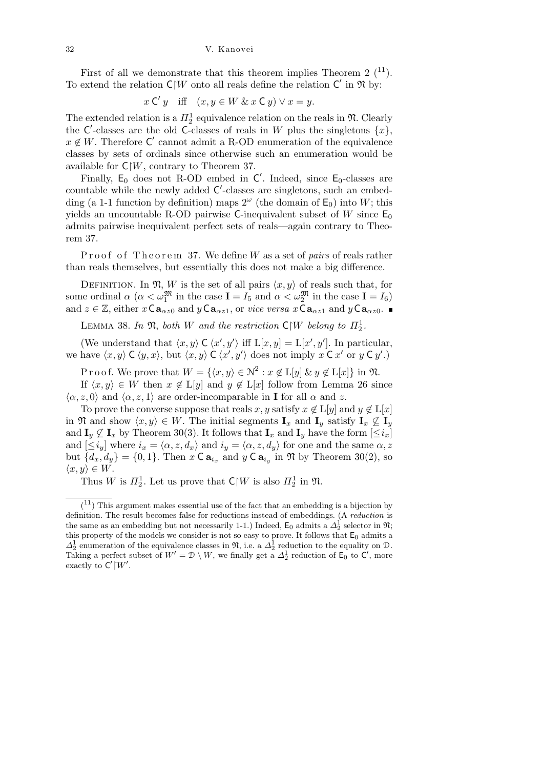First of all we demonstrate that this theorem implies Theorem 2  $(11)$ . To extend the relation  $C/W$  onto all reals define the relation  $C'$  in  $\mathfrak{N}$  by:

$$
x \mathsf{C}' y
$$
 iff  $(x, y \in W \& x \mathsf{C} y) \vee x = y$ .

The extended relation is a  $\Pi_2^1$  equivalence relation on the reals in  $\mathfrak{N}$ . Clearly the C'-classes are the old C-classes of reals in *W* plus the singletons  $\{x\}$ ,  $x \notin W$ . Therefore  $\mathsf{C}'$  cannot admit a R-OD enumeration of the equivalence classes by sets of ordinals since otherwise such an enumeration would be available for  $C\vert W$ , contrary to Theorem 37.

Finally,  $E_0$  does not R-OD embed in  $C'$ . Indeed, since  $E_0$ -classes are countable while the newly added C'-classes are singletons, such an embedding (a 1-1 function by definition) maps  $2^{\omega}$  (the domain of  $E_0$ ) into *W*; this yields an uncountable R-OD pairwise C-inequivalent subset of  $W$  since  $E_0$ admits pairwise inequivalent perfect sets of reals—again contrary to Theorem 37.

Proof of Theorem 37. We define *W* as a set of *pairs* of reals rather than reals themselves, but essentially this does not make a big difference.

DEFINITION. In  $\mathfrak{N}, W$  is the set of all pairs  $\langle x, y \rangle$  of reals such that, for some ordinal  $\alpha$  ( $\alpha < \omega_1^{\mathfrak{M}}$  in the case  $\mathbf{I} = I_5$  and  $\alpha < \omega_2^{\mathfrak{M}}$  in the case  $\mathbf{I} = I_6$ ) and  $z \in \mathbb{Z}$ , either  $x \mathsf{Ca}_{\alpha z0}$  and  $y \mathsf{Ca}_{\alpha z1}$ , or *vice versa*  $x \mathsf{Ca}_{\alpha z1}$  and  $y \mathsf{Ca}_{\alpha z0}$ .

LEMMA 38. In  $\mathfrak{N}$ , both *W* and the restriction  $\mathsf{C}|W$  belong to  $\Pi_2^1$ .

(We understand that  $\langle x, y \rangle \in \langle x', y' \rangle$  iff  $L[x, y] = L[x', y']$ . In particular, we have  $\langle x, y \rangle \mathsf{C} \langle y, x \rangle$ , but  $\langle x, y \rangle \mathsf{C} \langle x', y' \rangle$  does not imply  $x \mathsf{C} x'$  or  $y \mathsf{C} y'.$ 

P r o o f. We prove that  $W = \{(x, y) \in \mathbb{N}^2 : x \notin L[y] \& y \notin L[x]\}$  in  $\mathfrak{N}$ .

If  $\langle x, y \rangle \in W$  then  $x \notin L[y]$  and  $y \notin L[x]$  follow from Lemma 26 since  $\langle \alpha, z, 0 \rangle$  and  $\langle \alpha, z, 1 \rangle$  are order-incomparable in **I** for all  $\alpha$  and *z*.

To prove the converse suppose that reals *x*, *y* satisfy  $x \notin L[y]$  and  $y \notin L[x]$ in  $\mathfrak{N}$  and show  $\langle x, y \rangle \in W$ . The initial segments  $\mathbf{I}_x$  and  $\mathbf{I}_y$  satisfy  $\mathbf{I}_x \nsubseteq \mathbf{I}_y$ and  $\mathbf{I}_y \not\subseteq \mathbf{I}_x$  by Theorem 30(3). It follows that  $\mathbf{I}_x$  and  $\mathbf{I}_y$  have the form  $[\leq i_x]$ and  $[\leq i_y]$  where  $i_x = \langle \alpha, z, d_x \rangle$  and  $i_y = \langle \alpha, z, d_y \rangle$  for one and the same  $\alpha, z$ but  $\{d_x, d_y\} = \{0, 1\}$ . Then  $x \in \mathbf{a}_{i_x}$  and  $y \in \mathbf{a}_{i_y}$  in  $\mathfrak{N}$  by Theorem 30(2), so  $\langle x, y \rangle$  ∈ *W*.

Thus *W* is  $\Pi_2^1$ . Let us prove that  $C \upharpoonright W$  is also  $\Pi_2^1$  in  $\mathfrak{N}$ .

 $(1)$  This argument makes essential use of the fact that an embedding is a bijection by definition. The result becomes false for reductions instead of embeddings. (A *reduction* is the same as an embedding but not necessarily 1-1.) Indeed,  $E_0$  admits a  $\Delta_2^{\hat{i}}$  selector in  $\mathfrak{N};$ this property of the models we consider is not so easy to prove. It follows that  $E_0$  admits a  $\Delta_2^1$  enumeration of the equivalence classes in  $\mathfrak{N}$ , i.e. a  $\Delta_2^1$  reduction to the equality on  $\mathfrak{D}$ . Taking a perfect subset of  $W' = \mathcal{D} \setminus W$ , we finally get a  $\Delta_2^1$  reduction of  $\mathsf{E}_0$  to  $\mathsf{C}'$ , more exactly to  $C'|W'$ .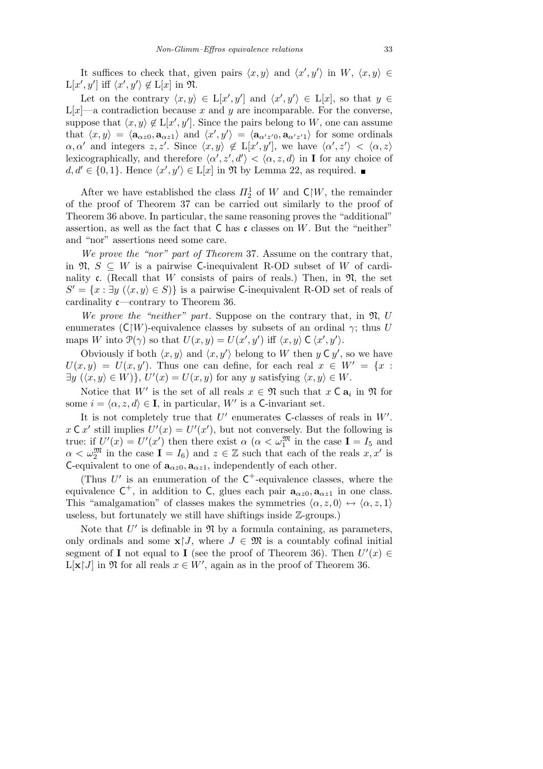It suffices to check that, given pairs  $\langle x, y \rangle$  and  $\langle x', y' \rangle$  in  $W$ ,  $\langle x, y \rangle \in$  $L[x', y']$  iff  $\langle x', y' \rangle \notin L[x]$  in  $\mathfrak{N}$ .

Let on the contrary  $\langle x, y \rangle \in L[x', y']$  and  $\langle x', y' \rangle \in L[x]$ , so that  $y \in L[x]$  $L[x]$ —a contradiction because x and y are incomparable. For the converse, suppose that  $\langle x, y \rangle \notin L[x', y']$ . Since the pairs belong to *W*, one can assume that  $\langle x, y \rangle = \langle a_{\alpha z 0}, a_{\alpha z 1} \rangle$  and  $\langle x', y' \rangle = \langle a_{\alpha' z' 0}, a_{\alpha' z' 1} \rangle$  for some ordinals  $\alpha, \alpha'$  and integers  $z, z'$ . Since  $\langle x, y \rangle \notin L[x', y']$ , we have  $\langle \alpha', z' \rangle < \langle \alpha, z \rangle$ lexicographically, and therefore  $\langle \alpha', z', d' \rangle < \langle \alpha, z, d \rangle$  in **I** for any choice of  $d, d' \in \{0, 1\}$ . Hence  $\langle x', y' \rangle \in L[x]$  in  $\mathfrak{N}$  by Lemma 22, as required.

After we have established the class  $\Pi_2^1$  of *W* and  $\mathsf{C}|W$ , the remainder of the proof of Theorem 37 can be carried out similarly to the proof of Theorem 36 above. In particular, the same reasoning proves the "additional" assertion, as well as the fact that C has c classes on *W*. But the "neither" and "nor" assertions need some care.

*We prove the "nor" part of Theorem* 37. Assume on the contrary that, in  $\mathfrak{N}, S \subseteq W$  is a pairwise C-inequivalent R-OD subset of *W* of cardinality c. (Recall that *W* consists of pairs of reals.) Then, in  $\mathfrak{N}$ , the set  $S' = \{x : \exists y \ (\langle x, y \rangle \in S) \}$  is a pairwise C-inequivalent R-OD set of reals of cardinality c—contrary to Theorem 36.

*We prove the "neither" part*. Suppose on the contrary that, in N, *U* enumerates  $(C|W)$ -equivalence classes by subsets of an ordinal  $\gamma$ ; thus *U* maps *W* into  $\mathcal{P}(\gamma)$  so that  $U(x, y) = U(x', y')$  iff  $\langle x, y \rangle \in \langle x', y' \rangle$ .

Obviously if both  $\langle x, y \rangle$  and  $\langle x, y' \rangle$  belong to *W* then  $y \in y'$ , so we have  $U(x, y) = U(x, y')$ . Thus one can define, for each real  $x \in W' = \{x :$  $\exists y \ (\langle x, y \rangle \in W) \}, U'(x) = U(x, y)$  for any *y* satisfying  $\langle x, y \rangle \in W$ .

Notice that *W'* is the set of all reals  $x \in \mathfrak{N}$  such that  $x \in \mathbf{a}_i$  in  $\mathfrak{N}$  for some  $i = \langle \alpha, z, d \rangle \in I$ , in particular, *W'* is a C-invariant set.

It is not completely true that  $U'$  enumerates C-classes of reals in  $W'$ .  $x \in \mathcal{X}$  still implies  $U'(x) = U'(x')$ , but not conversely. But the following is true: if  $U'(x) = U'(x')$  then there exist  $\alpha$  ( $\alpha < \omega_1^{\mathfrak{M}}$  in the case  $\mathbf{I} = I_5$  and  $\alpha < \omega_2^{\mathfrak{M}}$  in the case  $\mathbf{I} = I_6$ ) and  $z \in \mathbb{Z}$  such that each of the reals  $x, x'$  is C-equivalent to one of  $\mathbf{a}_{\alpha z0}, \mathbf{a}_{\alpha z1}$ , independently of each other.

(Thus  $U'$  is an enumeration of the  $C^+$ -equivalence classes, where the equivalence  $C^+$ , in addition to C, glues each pair  $\mathbf{a}_{\alpha z0}, \mathbf{a}_{\alpha z1}$  in one class. This "amalgamation" of classes makes the symmetries  $\langle \alpha, z, 0 \rangle \leftrightarrow \langle \alpha, z, 1 \rangle$ useless, but fortunately we still have shiftings inside Z-groups.)

Note that  $U'$  is definable in  $\mathfrak N$  by a formula containing, as parameters, only ordinals and some  $\mathbf{x}$  $J$ , where  $J \in \mathfrak{M}$  is a countably cofinal initial segment of **I** not equal to **I** (see the proof of Theorem 36). Then  $U'(x) \in$  $L[x|J]$  in  $\mathfrak{N}$  for all reals  $x \in W'$ , again as in the proof of Theorem 36.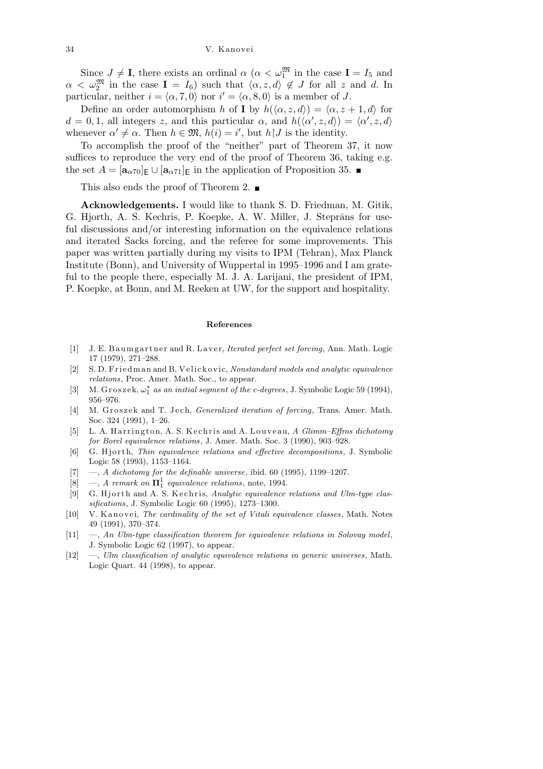Since  $J \neq I$ , there exists an ordinal  $\alpha$  ( $\alpha < \omega_1^{\mathfrak{M}}$  in the case  $I = I_5$  and  $\alpha < \omega_2^{\mathfrak{M}}$  in the case **I** =  $I_6$ ) such that  $\langle \alpha, z, d \rangle \notin J$  for all *z* and *d*. In particular, neither  $i = \langle \alpha, 7, 0 \rangle$  nor  $i' = \langle \alpha, 8, 0 \rangle$  is a member of *J*.

Define an order automorphism *h* of **I** by  $h(\langle \alpha, z, d \rangle) = \langle \alpha, z + 1, d \rangle$  for  $d = 0, 1$ , all integers *z*, and this particular  $\alpha$ , and  $h(\langle \alpha', z, d \rangle) = \langle \alpha', z, d \rangle$ whenever  $\alpha' \neq \alpha$ . Then  $h \in \mathfrak{M}$ ,  $h(i) = i'$ , but  $h \upharpoonright J$  is the identity.

To accomplish the proof of the "neither" part of Theorem 37, it now suffices to reproduce the very end of the proof of Theorem 36, taking e.g. the set  $A = [\mathbf{a}_{\alpha 70}]_E \cup [\mathbf{a}_{\alpha 71}]_E$  in the application of Proposition 35.

This also ends the proof of Theorem 2.

**Acknowledgements.** I would like to thank S. D. Friedman, M. Gitik, G. Hjorth, A. S. Kechris, P. Koepke, A. W. Miller, J. Steprāns for useful discussions and/or interesting information on the equivalence relations and iterated Sacks forcing, and the referee for some improvements. This paper was written partially during my visits to IPM (Tehran), Max Planck Institute (Bonn), and University of Wuppertal in 1995–1996 and I am grateful to the people there, especially M. J. A. Larijani, the president of IPM, P. Koepke, at Bonn, and M. Reeken at UW, for the support and hospitality.

## **References**

- [1] J. E. B a umg artner and R. Laver, *Iterated perfect set forcing*, Ann. Math. Logic 17 (1979), 271–288.
- [2] S. D. Friedman and B. Velickovic, *Nonstandard models and analytic equivalence relations*, Proc. Amer. Math. Soc., to appear.
- [3] M. Groszek,  $\omega_1^*$  *as an initial segment of the c-degrees*, J. Symbolic Logic 59 (1994), 956–976.
- [4] M. Groszek and T. Jech, *Generalized iteration of forcing*, Trans. Amer. Math. Soc. 324 (1991), 1–26.
- [5] L. A. H a r ri n g t o n, A. S. K e c h ri s and A. L o u v e a u, *A Glimm–Effros dichotomy for Borel equivalence relations*, J. Amer. Math. Soc. 3 (1990), 903–928.
- [6] G. Hjorth, *Thin equivalence relations and effective decompositions*, J. Symbolic Logic 58 (1993), 1153–1164.
- [7] —, *A dichotomy for the definable universe*, ibid. 60 (1995), 1199–1207.
- [8]  $\rightarrow$ , *A remark on*  $\Pi_1^1$  *equivalence relations*, note, 1994.
- [9] G. Hjorth and A. S. Kechris, *Analytic equivalence relations and Ulm-type classifications*, J. Symbolic Logic 60 (1995), 1273–1300.
- [10] V. Kanovei, *The cardinality of the set of Vitali equivalence classes*, Math. Notes 49 (1991), 370–374.
- [11] —, *An Ulm-type classification theorem for equivalence relations in Solovay model*, J. Symbolic Logic 62 (1997), to appear.
- [12] —, *Ulm classification of analytic equivalence relations in generic universes*, Math. Logic Quart. 44 (1998), to appear.